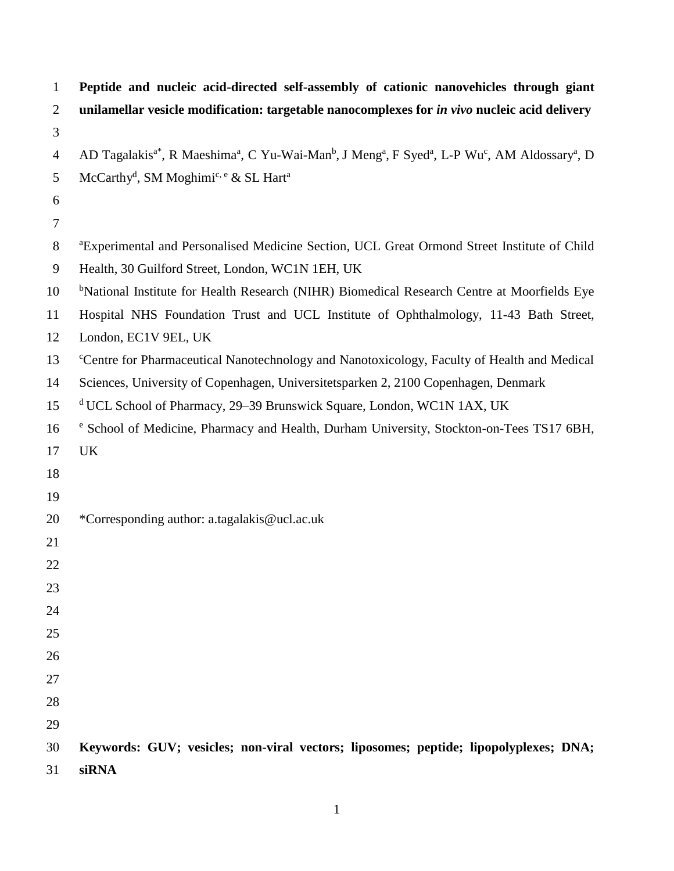| Peptide and nucleic acid-directed self-assembly of cationic nanovehicles through giant                                                                                             |
|------------------------------------------------------------------------------------------------------------------------------------------------------------------------------------|
| unilamellar vesicle modification: targetable nanocomplexes for in vivo nucleic acid delivery                                                                                       |
|                                                                                                                                                                                    |
| AD Tagalakis <sup>a*</sup> , R Maeshima <sup>a</sup> , C Yu-Wai-Man <sup>b</sup> , J Meng <sup>a</sup> , F Syed <sup>a</sup> , L-P Wu <sup>c</sup> , AM Aldossary <sup>a</sup> , D |
| McCarthy <sup>d</sup> , SM Moghimi <sup>c, e</sup> & SL Hart <sup>a</sup>                                                                                                          |
|                                                                                                                                                                                    |
|                                                                                                                                                                                    |
| <sup>a</sup> Experimental and Personalised Medicine Section, UCL Great Ormond Street Institute of Child                                                                            |
| Health, 30 Guilford Street, London, WC1N 1EH, UK                                                                                                                                   |
| <sup>b</sup> National Institute for Health Research (NIHR) Biomedical Research Centre at Moorfields Eye                                                                            |
| Hospital NHS Foundation Trust and UCL Institute of Ophthalmology, 11-43 Bath Street,                                                                                               |
| London, EC1V 9EL, UK                                                                                                                                                               |
| <sup>c</sup> Centre for Pharmaceutical Nanotechnology and Nanotoxicology, Faculty of Health and Medical                                                                            |
| Sciences, University of Copenhagen, Universitetsparken 2, 2100 Copenhagen, Denmark                                                                                                 |
| <sup>d</sup> UCL School of Pharmacy, 29–39 Brunswick Square, London, WC1N 1AX, UK                                                                                                  |
| <sup>e</sup> School of Medicine, Pharmacy and Health, Durham University, Stockton-on-Tees TS17 6BH,                                                                                |
| <b>UK</b>                                                                                                                                                                          |
|                                                                                                                                                                                    |
|                                                                                                                                                                                    |
| *Corresponding author: a.tagalakis@ucl.ac.uk                                                                                                                                       |
|                                                                                                                                                                                    |
|                                                                                                                                                                                    |
|                                                                                                                                                                                    |
|                                                                                                                                                                                    |
|                                                                                                                                                                                    |
|                                                                                                                                                                                    |
|                                                                                                                                                                                    |
|                                                                                                                                                                                    |
|                                                                                                                                                                                    |
|                                                                                                                                                                                    |
| Keywords: GUV; vesicles; non-viral vectors; liposomes; peptide; lipopolyplexes; DNA;                                                                                               |
|                                                                                                                                                                                    |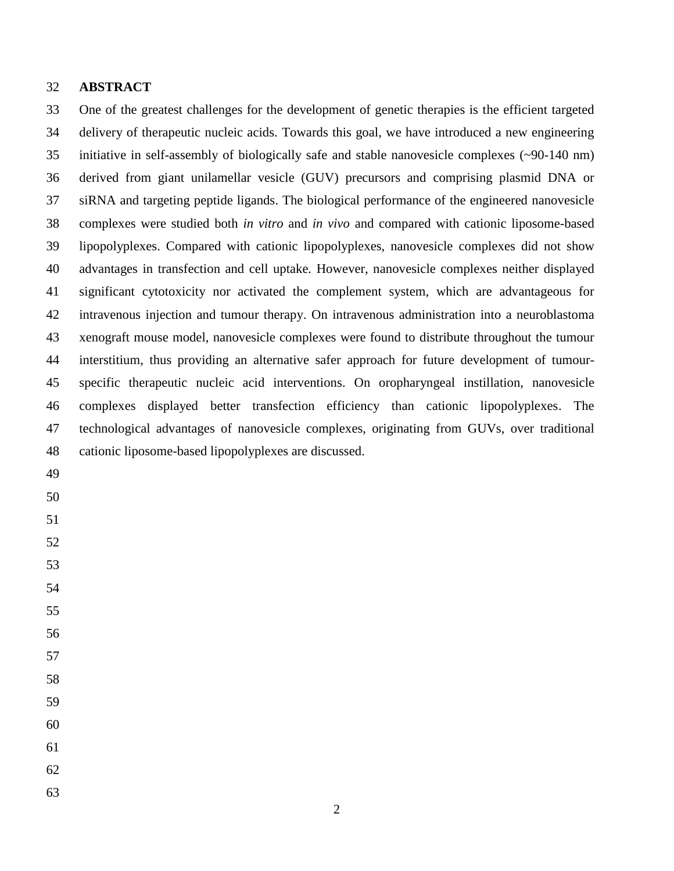## **ABSTRACT**

 One of the greatest challenges for the development of genetic therapies is the efficient targeted delivery of therapeutic nucleic acids. Towards this goal, we have introduced a new engineering initiative in self-assembly of biologically safe and stable nanovesicle complexes (~90-140 nm) derived from giant unilamellar vesicle (GUV) precursors and comprising plasmid DNA or siRNA and targeting peptide ligands. The biological performance of the engineered nanovesicle complexes were studied both *in vitro* and *in vivo* and compared with cationic liposome-based lipopolyplexes. Compared with cationic lipopolyplexes, nanovesicle complexes did not show advantages in transfection and cell uptake. However, nanovesicle complexes neither displayed significant cytotoxicity nor activated the complement system, which are advantageous for intravenous injection and tumour therapy. On intravenous administration into a neuroblastoma xenograft mouse model, nanovesicle complexes were found to distribute throughout the tumour interstitium, thus providing an alternative safer approach for future development of tumour- specific therapeutic nucleic acid interventions. On oropharyngeal instillation, nanovesicle complexes displayed better transfection efficiency than cationic lipopolyplexes. The technological advantages of nanovesicle complexes, originating from GUVs, over traditional cationic liposome-based lipopolyplexes are discussed.

- 
- 
- 
- 
- 
- 
- 
- 
- 
- 

- 
- 
- 
-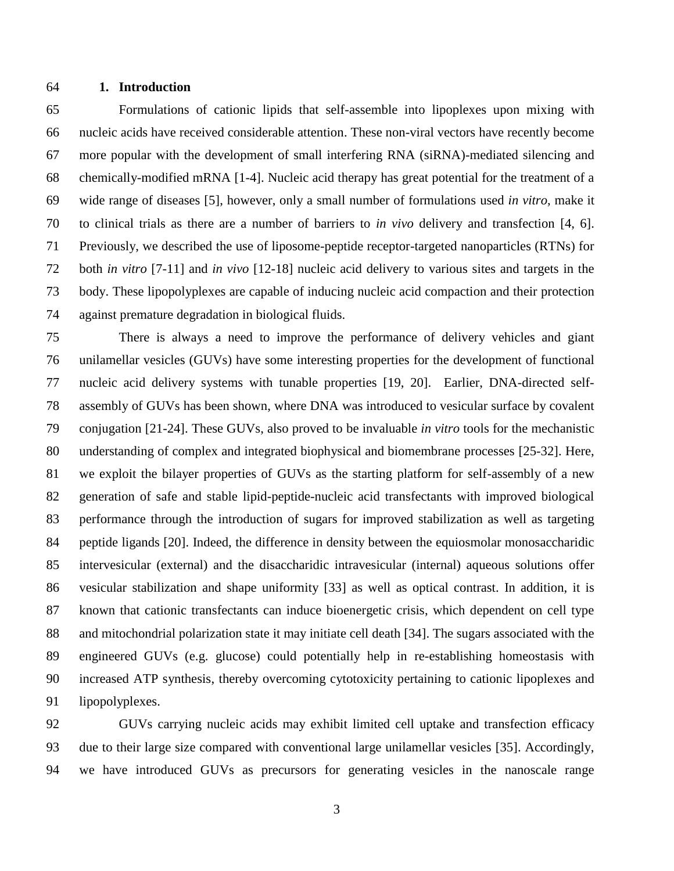#### **1. Introduction**

 Formulations of cationic lipids that self-assemble into lipoplexes upon mixing with nucleic acids have received considerable attention. These non-viral vectors have recently become more popular with the development of small interfering RNA (siRNA)-mediated silencing and chemically-modified mRNA [1-4]. Nucleic acid therapy has great potential for the treatment of a wide range of diseases [5], however, only a small number of formulations used *in vitro*, make it to clinical trials as there are a number of barriers to *in vivo* delivery and transfection [4, 6]. Previously, we described the use of liposome-peptide receptor-targeted nanoparticles (RTNs) for both *in vitro* [7-11] and *in vivo* [12-18] nucleic acid delivery to various sites and targets in the body. These lipopolyplexes are capable of inducing nucleic acid compaction and their protection against premature degradation in biological fluids.

 There is always a need to improve the performance of delivery vehicles and giant unilamellar vesicles (GUVs) have some interesting properties for the development of functional nucleic acid delivery systems with tunable properties [19, 20]. Earlier, DNA-directed self- assembly of GUVs has been shown, where DNA was introduced to vesicular surface by covalent conjugation [21-24]. These GUVs, also proved to be invaluable *in vitro* tools for the mechanistic understanding of complex and integrated biophysical and biomembrane processes [25-32]. Here, we exploit the bilayer properties of GUVs as the starting platform for self-assembly of a new generation of safe and stable lipid-peptide-nucleic acid transfectants with improved biological performance through the introduction of sugars for improved stabilization as well as targeting peptide ligands [20]. Indeed, the difference in density between the equiosmolar monosaccharidic intervesicular (external) and the disaccharidic intravesicular (internal) aqueous solutions offer vesicular stabilization and shape uniformity [33] as well as optical contrast. In addition, it is known that cationic transfectants can induce bioenergetic crisis, which dependent on cell type and mitochondrial polarization state it may initiate cell death [34]. The sugars associated with the engineered GUVs (e.g. glucose) could potentially help in re-establishing homeostasis with increased ATP synthesis, thereby overcoming cytotoxicity pertaining to cationic lipoplexes and lipopolyplexes.

 GUVs carrying nucleic acids may exhibit limited cell uptake and transfection efficacy due to their large size compared with conventional large unilamellar vesicles [35]. Accordingly, we have introduced GUVs as precursors for generating vesicles in the nanoscale range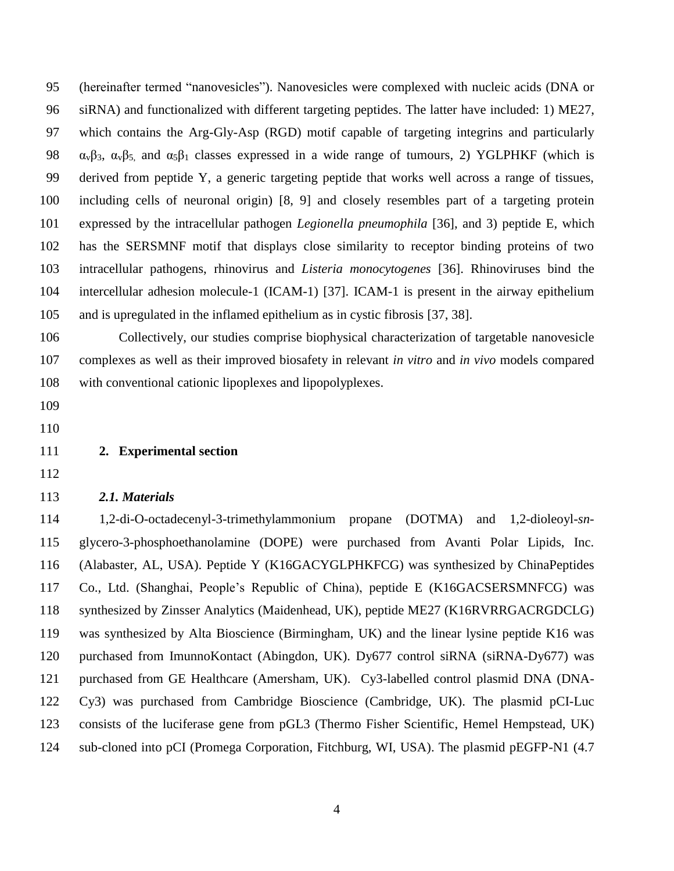(hereinafter termed "nanovesicles"). Nanovesicles were complexed with nucleic acids (DNA or siRNA) and functionalized with different targeting peptides. The latter have included: 1) ME27, which contains the Arg-Gly-Asp (RGD) motif capable of targeting integrins and particularly  $\alpha_v \beta_3$ ,  $\alpha_v \beta_5$  and  $\alpha_5 \beta_1$  classes expressed in a wide range of tumours, 2) YGLPHKF (which is derived from peptide Y, a generic targeting peptide that works well across a range of tissues, including cells of neuronal origin) [8, 9] and closely resembles part of a targeting protein expressed by the intracellular pathogen *Legionella pneumophila* [36], and 3) peptide E, which has the SERSMNF motif that displays close similarity to receptor binding proteins of two intracellular pathogens, rhinovirus and *Listeria monocytogenes* [36]. Rhinoviruses bind the intercellular adhesion molecule-1 (ICAM-1) [37]. ICAM-1 is present in the airway epithelium and is upregulated in the inflamed epithelium as in cystic fibrosis [37, 38].

 Collectively, our studies comprise biophysical characterization of targetable nanovesicle complexes as well as their improved biosafety in relevant *in vitro* and *in vivo* models compared with conventional cationic lipoplexes and lipopolyplexes.

- 
- 

## **2. Experimental section**

### *2.1. Materials*

 1,2-di-O-octadecenyl-3-trimethylammonium propane (DOTMA) and 1,2-dioleoyl-*sn*- glycero-3-phosphoethanolamine (DOPE) were purchased from Avanti Polar Lipids, Inc. (Alabaster, AL, USA). Peptide Y (K16GACYGLPHKFCG) was synthesized by ChinaPeptides Co., Ltd. (Shanghai, People's Republic of China), peptide E (K16GACSERSMNFCG) was synthesized by Zinsser Analytics (Maidenhead, UK), peptide ME27 (K16RVRRGACRGDCLG) was synthesized by Alta Bioscience (Birmingham, UK) and the linear lysine peptide K16 was purchased from ImunnoKontact (Abingdon, UK). Dy677 control siRNA (siRNA-Dy677) was purchased from GE Healthcare (Amersham, UK). Cy3-labelled control plasmid DNA (DNA- Cy3) was purchased from Cambridge Bioscience (Cambridge, UK). The plasmid pCI-Luc consists of the luciferase gene from pGL3 (Thermo Fisher Scientific, Hemel Hempstead, UK) sub-cloned into pCI (Promega Corporation, Fitchburg, WI, USA). The plasmid pEGFP-N1 (4.7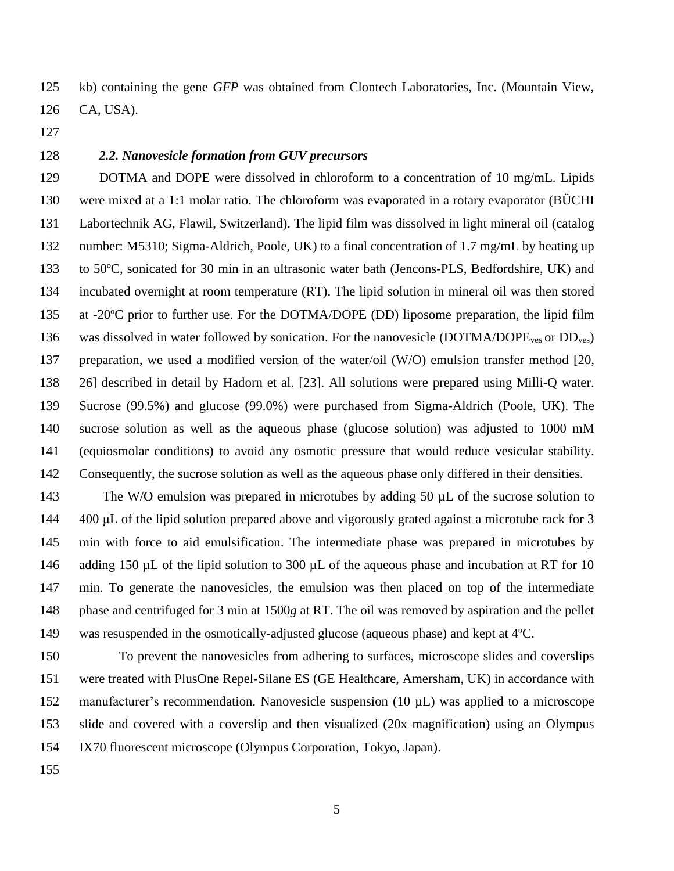kb) containing the gene *GFP* was obtained from Clontech Laboratories, Inc. (Mountain View, CA, USA).

#### *2.2. Nanovesicle formation from GUV precursors*

129 DOTMA and DOPE were dissolved in chloroform to a concentration of 10 mg/mL. Lipids were mixed at a 1:1 molar ratio. The chloroform was evaporated in a rotary evaporator (BÜCHI Labortechnik AG, Flawil, Switzerland). The lipid film was dissolved in light mineral oil (catalog number: M5310; Sigma-Aldrich, Poole, UK) to a final concentration of 1.7 mg/mL by heating up to 50ºC, sonicated for 30 min in an ultrasonic water bath (Jencons-PLS, Bedfordshire, UK) and incubated overnight at room temperature (RT). The lipid solution in mineral oil was then stored at -20ºC prior to further use. For the DOTMA/DOPE (DD) liposome preparation, the lipid film 136 was dissolved in water followed by sonication. For the nanovesicle (DOTMA/DOPE<sub>ves</sub> or DD<sub>ves</sub>) preparation, we used a modified version of the water/oil (W/O) emulsion transfer method [20, 26] described in detail by Hadorn et al. [23]. All solutions were prepared using Milli-Q water. Sucrose (99.5%) and glucose (99.0%) were purchased from Sigma-Aldrich (Poole, UK). The sucrose solution as well as the aqueous phase (glucose solution) was adjusted to 1000 mM (equiosmolar conditions) to avoid any osmotic pressure that would reduce vesicular stability. Consequently, the sucrose solution as well as the aqueous phase only differed in their densities.

143 The W/O emulsion was prepared in microtubes by adding 50  $\mu$ L of the sucrose solution to 400 μL of the lipid solution prepared above and vigorously grated against a microtube rack for 3 min with force to aid emulsification. The intermediate phase was prepared in microtubes by 146 adding 150 µL of the lipid solution to 300 µL of the aqueous phase and incubation at RT for 10 min. To generate the nanovesicles, the emulsion was then placed on top of the intermediate phase and centrifuged for 3 min at 1500*g* at RT. The oil was removed by aspiration and the pellet was resuspended in the osmotically-adjusted glucose (aqueous phase) and kept at 4ºC.

 To prevent the nanovesicles from adhering to surfaces, microscope slides and coverslips were treated with PlusOne Repel-Silane ES (GE Healthcare, Amersham, UK) in accordance with manufacturer's recommendation. Nanovesicle suspension (10 µL) was applied to a microscope slide and covered with a coverslip and then visualized (20x magnification) using an Olympus IX70 fluorescent microscope (Olympus Corporation, Tokyo, Japan).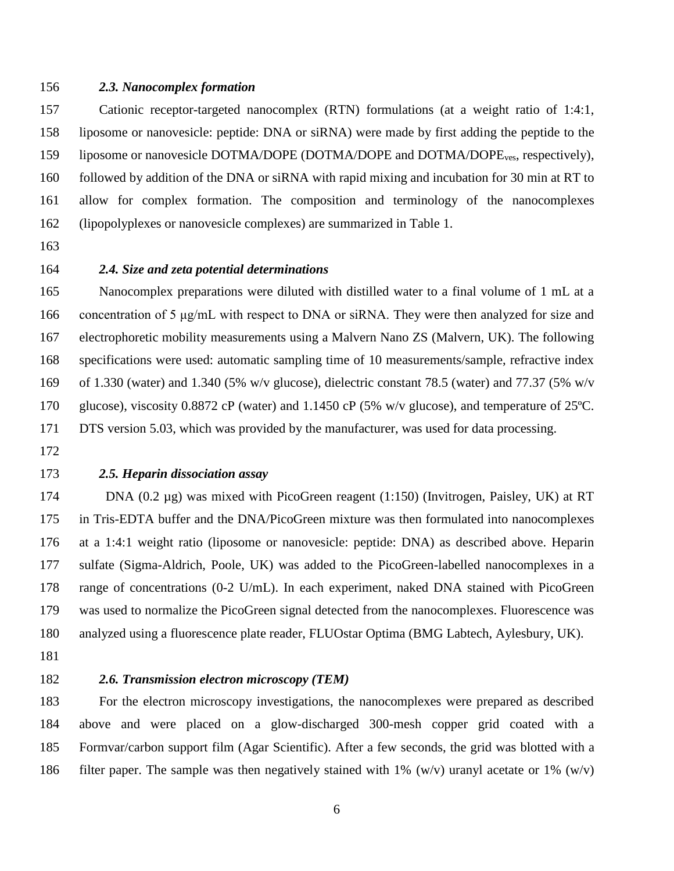#### *2.3. Nanocomplex formation*

 Cationic receptor-targeted nanocomplex (RTN) formulations (at a weight ratio of 1:4:1, liposome or nanovesicle: peptide: DNA or siRNA) were made by first adding the peptide to the liposome or nanovesicle DOTMA/DOPE (DOTMA/DOPE and DOTMA/DOPEves, respectively), followed by addition of the DNA or siRNA with rapid mixing and incubation for 30 min at RT to allow for complex formation. The composition and terminology of the nanocomplexes (lipopolyplexes or nanovesicle complexes) are summarized in Table 1.

#### *2.4. Size and zeta potential determinations*

 Nanocomplex preparations were diluted with distilled water to a final volume of 1 mL at a concentration of 5 μg/mL with respect to DNA or siRNA. They were then analyzed for size and electrophoretic mobility measurements using a Malvern Nano ZS (Malvern, UK). The following specifications were used: automatic sampling time of 10 measurements/sample, refractive index of 1.330 (water) and 1.340 (5% w/v glucose), dielectric constant 78.5 (water) and 77.37 (5% w/v glucose), viscosity 0.8872 cP (water) and 1.1450 cP (5% w/v glucose), and temperature of 25ºC. DTS version 5.03, which was provided by the manufacturer, was used for data processing.

- 
- 

#### *2.5. Heparin dissociation assay*

 DNA (0.2 µg) was mixed with PicoGreen reagent (1:150) (Invitrogen, Paisley, UK) at RT in Tris-EDTA buffer and the DNA/PicoGreen mixture was then formulated into nanocomplexes at a 1:4:1 weight ratio (liposome or nanovesicle: peptide: DNA) as described above. Heparin sulfate (Sigma-Aldrich, Poole, UK) was added to the PicoGreen-labelled nanocomplexes in a range of concentrations (0-2 U/mL). In each experiment, naked DNA stained with PicoGreen was used to normalize the PicoGreen signal detected from the nanocomplexes. Fluorescence was analyzed using a fluorescence plate reader, FLUOstar Optima (BMG Labtech, Aylesbury, UK).

*2.6. Transmission electron microscopy (TEM)*

 For the electron microscopy investigations, the nanocomplexes were prepared as described above and were placed on a glow-discharged 300-mesh copper grid coated with a Formvar/carbon support film (Agar Scientific). After a few seconds, the grid was blotted with a 186 filter paper. The sample was then negatively stained with 1% (w/v) uranyl acetate or 1% (w/v)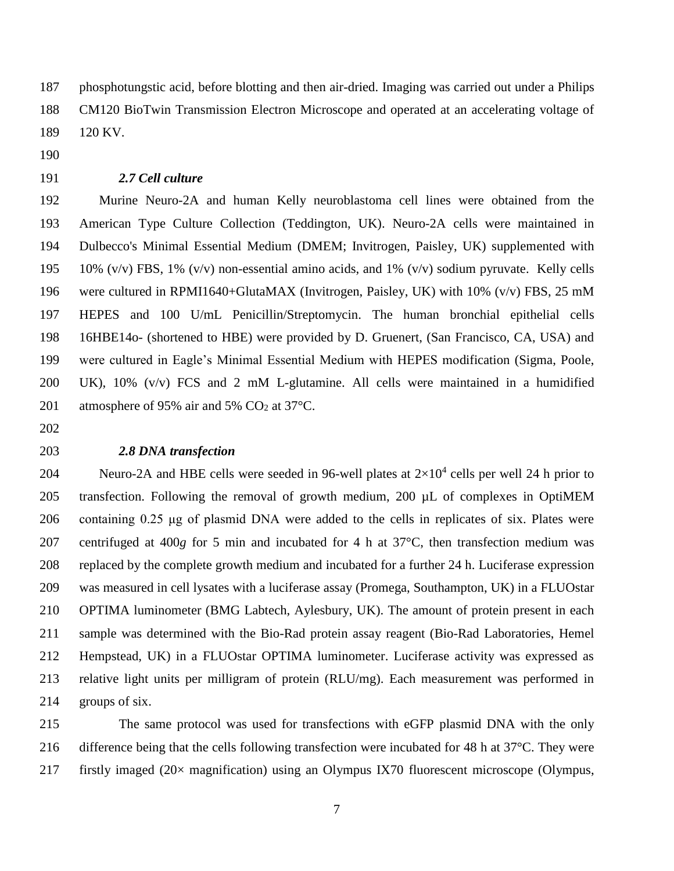phosphotungstic acid, before blotting and then air-dried. Imaging was carried out under a Philips CM120 BioTwin Transmission Electron Microscope and operated at an accelerating voltage of 120 KV.

- 
- 

# *2.7 Cell culture*

 Murine Neuro-2A and human Kelly neuroblastoma cell lines were obtained from the American Type Culture Collection (Teddington, UK). Neuro-2A cells were maintained in Dulbecco's Minimal Essential Medium (DMEM; Invitrogen, Paisley, UK) supplemented with 10% (v/v) FBS, 1% (v/v) non-essential amino acids, and 1% (v/v) sodium pyruvate. Kelly cells were cultured in RPMI1640+GlutaMAX (Invitrogen, Paisley, UK) with 10% (v/v) FBS, 25 mM HEPES and 100 U/mL Penicillin/Streptomycin. The human bronchial epithelial cells 16HBE14o- (shortened to HBE) were provided by D. Gruenert, (San Francisco, CA, USA) and were cultured in Eagle's Minimal Essential Medium with HEPES modification (Sigma, Poole, UK), 10% (v/v) FCS and 2 mM L-glutamine. All cells were maintained in a humidified 201 atmosphere of 95% air and 5%  $CO<sub>2</sub>$  at 37 $\degree$ C.

#### *2.8 DNA transfection*

204 Neuro-2A and HBE cells were seeded in 96-well plates at  $2\times10^4$  cells per well 24 h prior to transfection. Following the removal of growth medium, 200 µL of complexes in OptiMEM containing 0.25 μg of plasmid DNA were added to the cells in replicates of six. Plates were centrifuged at 400*g* for 5 min and incubated for 4 h at 37°C, then transfection medium was replaced by the complete growth medium and incubated for a further 24 h. Luciferase expression was measured in cell lysates with a luciferase assay (Promega, Southampton, UK) in a FLUOstar OPTIMA luminometer (BMG Labtech, Aylesbury, UK). The amount of protein present in each sample was determined with the Bio-Rad protein assay reagent (Bio-Rad Laboratories, Hemel Hempstead, UK) in a FLUOstar OPTIMA luminometer. Luciferase activity was expressed as relative light units per milligram of protein (RLU/mg). Each measurement was performed in 214 groups of six.

 The same protocol was used for transfections with eGFP plasmid DNA with the only difference being that the cells following transfection were incubated for 48 h at 37°C. They were firstly imaged (20× magnification) using an Olympus IX70 fluorescent microscope (Olympus,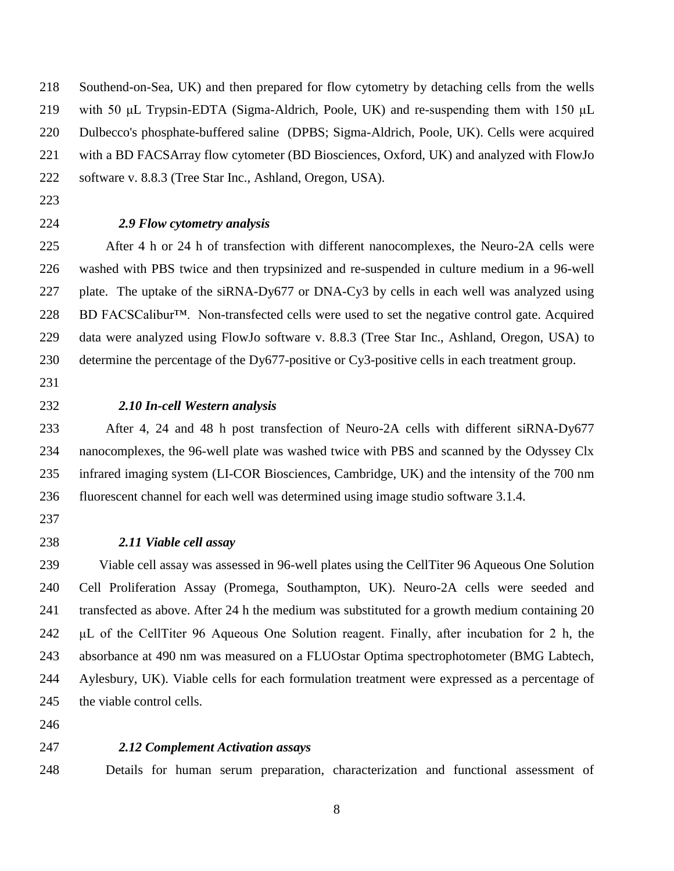Southend-on-Sea, UK) and then prepared for flow cytometry by detaching cells from the wells with 50 μL Trypsin-EDTA (Sigma-Aldrich, Poole, UK) and re-suspending them with 150 μL Dulbecco's phosphate-buffered saline (DPBS; Sigma-Aldrich, Poole, UK). Cells were acquired with a BD FACSArray flow cytometer (BD Biosciences, Oxford, UK) and analyzed with FlowJo software v. 8.8.3 (Tree Star Inc., Ashland, Oregon, USA).

- 
- 

# *2.9 Flow cytometry analysis*

 After 4 h or 24 h of transfection with different nanocomplexes, the Neuro-2A cells were washed with PBS twice and then trypsinized and re-suspended in culture medium in a 96-well plate. The uptake of the siRNA-Dy677 or DNA-Cy3 by cells in each well was analyzed using BD FACSCalibur™. Non-transfected cells were used to set the negative control gate. Acquired data were analyzed using FlowJo software v. 8.8.3 (Tree Star Inc., Ashland, Oregon, USA) to determine the percentage of the Dy677-positive or Cy3-positive cells in each treatment group.

- 
- 

## *2.10 In-cell Western analysis*

 After 4, 24 and 48 h post transfection of Neuro-2A cells with different siRNA-Dy677 nanocomplexes, the 96-well plate was washed twice with PBS and scanned by the Odyssey Clx infrared imaging system (LI-COR Biosciences, Cambridge, UK) and the intensity of the 700 nm fluorescent channel for each well was determined using image studio software 3.1.4.

## *2.11 Viable cell assay*

 Viable cell assay was assessed in 96-well plates using the CellTiter 96 Aqueous One Solution Cell Proliferation Assay (Promega, Southampton, UK). Neuro-2A cells were seeded and transfected as above. After 24 h the medium was substituted for a growth medium containing 20 μL of the CellTiter 96 Aqueous One Solution reagent. Finally, after incubation for 2 h, the absorbance at 490 nm was measured on a FLUOstar Optima spectrophotometer (BMG Labtech, Aylesbury, UK). Viable cells for each formulation treatment were expressed as a percentage of 245 the viable control cells.

## *2.12 Complement Activation assays*

Details for human serum preparation, characterization and functional assessment of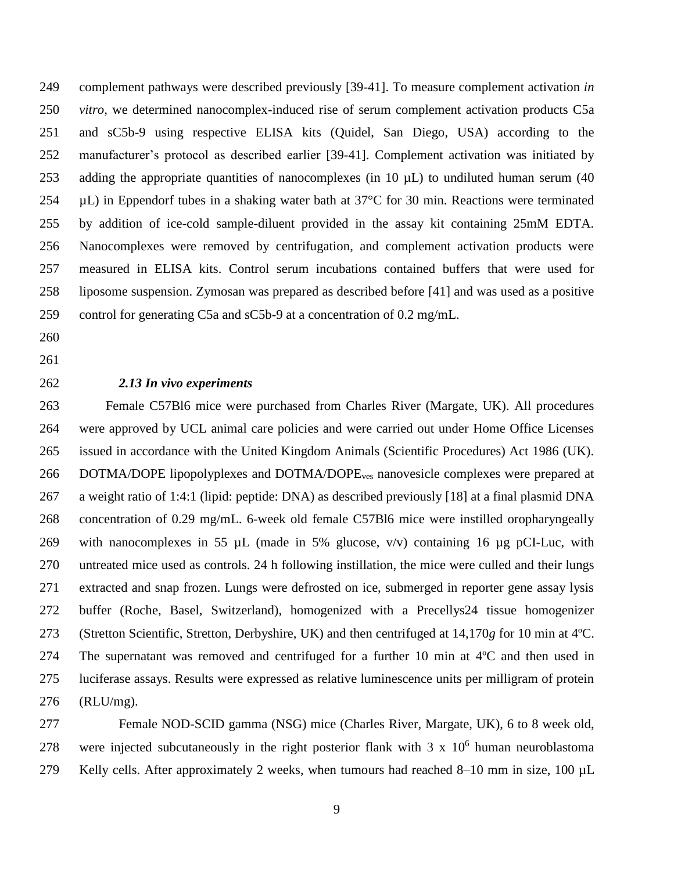complement pathways were described previously [39-41]. To measure complement activation *in vitro*, we determined nanocomplex-induced rise of serum complement activation products C5a and sC5b-9 using respective ELISA kits (Quidel, San Diego, USA) according to the manufacturer's protocol as described earlier [39-41]. Complement activation was initiated by 253 adding the appropriate quantities of nanocomplexes (in 10  $\mu$ L) to undiluted human serum (40  $\mu$ L) in Eppendorf tubes in a shaking water bath at 37 $\degree$ C for 30 min. Reactions were terminated by addition of ice-cold sample-diluent provided in the assay kit containing 25mM EDTA. Nanocomplexes were removed by centrifugation, and complement activation products were measured in ELISA kits. Control serum incubations contained buffers that were used for liposome suspension. Zymosan was prepared as described before [41] and was used as a positive control for generating C5a and sC5b-9 at a concentration of 0.2 mg/mL.

- 
- 

### *2.13 In vivo experiments*

 Female C57Bl6 mice were purchased from Charles River (Margate, UK). All procedures were approved by UCL animal care policies and were carried out under Home Office Licenses issued in accordance with the United Kingdom Animals (Scientific Procedures) Act 1986 (UK). 266 DOTMA/DOPE lipopolyplexes and DOTMA/DOPE<sub>ves</sub> nanovesicle complexes were prepared at a weight ratio of 1:4:1 (lipid: peptide: DNA) as described previously [18] at a final plasmid DNA concentration of 0.29 mg/mL. 6-week old female C57Bl6 mice were instilled oropharyngeally 269 with nanocomplexes in 55  $\mu$ L (made in 5% glucose, v/v) containing 16  $\mu$ g pCI-Luc, with untreated mice used as controls. 24 h following instillation, the mice were culled and their lungs extracted and snap frozen. Lungs were defrosted on ice, submerged in reporter gene assay lysis buffer (Roche, Basel, Switzerland), homogenized with a Precellys24 tissue homogenizer (Stretton Scientific, Stretton, Derbyshire, UK) and then centrifuged at 14,170*g* for 10 min at 4ºC. The supernatant was removed and centrifuged for a further 10 min at 4ºC and then used in luciferase assays. Results were expressed as relative luminescence units per milligram of protein (RLU/mg).

 Female NOD-SCID gamma (NSG) mice (Charles River, Margate, UK), 6 to 8 week old, 278 were injected subcutaneously in the right posterior flank with  $3 \times 10^6$  human neuroblastoma Kelly cells. After approximately 2 weeks, when tumours had reached 8–10 mm in size, 100 µL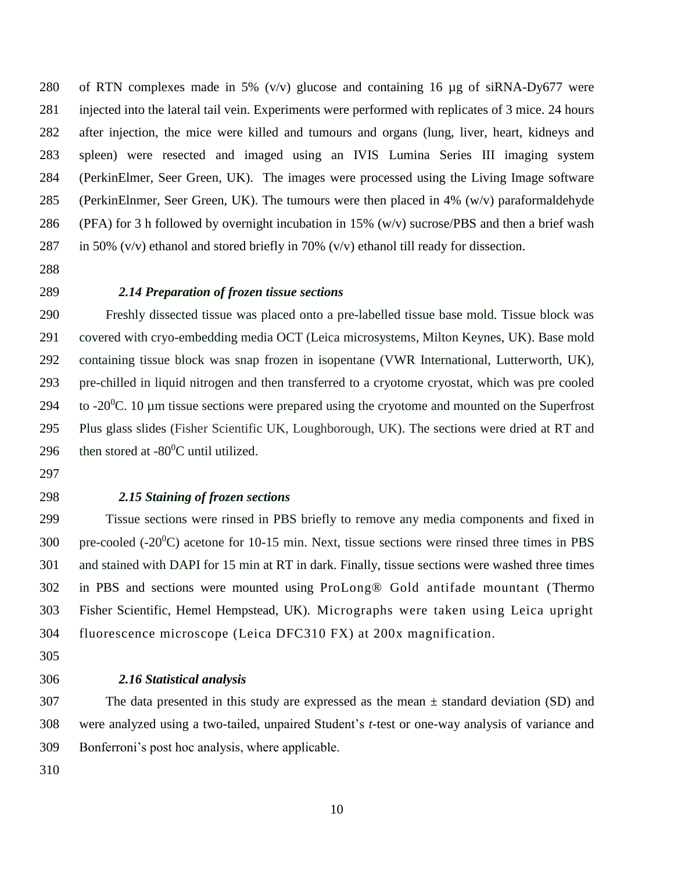280 of RTN complexes made in 5%  $(v/v)$  glucose and containing 16  $\mu$ g of siRNA-Dy677 were injected into the lateral tail vein. Experiments were performed with replicates of 3 mice. 24 hours after injection, the mice were killed and tumours and organs (lung, liver, heart, kidneys and spleen) were resected and imaged using an IVIS Lumina Series III imaging system (PerkinElmer, Seer Green, UK). The images were processed using the Living Image software 285 (PerkinElnmer, Seer Green, UK). The tumours were then placed in 4%  $(w/v)$  paraformaldehyde 286 (PFA) for 3 h followed by overnight incubation in 15% (w/v) sucrose/PBS and then a brief wash 287 in 50%  $(v/v)$  ethanol and stored briefly in 70%  $(v/v)$  ethanol till ready for dissection.

## *2.14 Preparation of frozen tissue sections*

 Freshly dissected tissue was placed onto a pre-labelled tissue base mold. Tissue block was covered with cryo-embedding media OCT (Leica microsystems, Milton Keynes, UK). Base mold containing tissue block was snap frozen in isopentane (VWR International, Lutterworth, UK), pre-chilled in liquid nitrogen and then transferred to a cryotome cryostat, which was pre cooled 294 to -20 $\degree$ C. 10 µm tissue sections were prepared using the cryotome and mounted on the Superfrost Plus glass slides (Fisher Scientific UK, Loughborough, UK). The sections were dried at RT and 296 then stored at  $-80^0$ C until utilized.

## *2.15 Staining of frozen sections*

 Tissue sections were rinsed in PBS briefly to remove any media components and fixed in 300 pre-cooled (-20 $^{\circ}$ C) acetone for 10-15 min. Next, tissue sections were rinsed three times in PBS and stained with DAPI for 15 min at RT in dark. Finally, tissue sections were washed three times in PBS and sections were mounted using ProLong® Gold antifade mountant (Thermo Fisher Scientific, Hemel Hempstead, UK[\).](https://www.thermofisher.com/us/en/home/about-us/product-stewardship/greener-alternatives.html) Micrographs were taken using Leica upright fluorescence microscope (Leica DFC310 FX) at 200x magnification.

## *2.16 Statistical analysis*

 The data presented in this study are expressed as the mean ± standard deviation (SD) and were analyzed using a two-tailed, unpaired Student's *t*-test or one-way analysis of variance and Bonferroni's post hoc analysis, where applicable.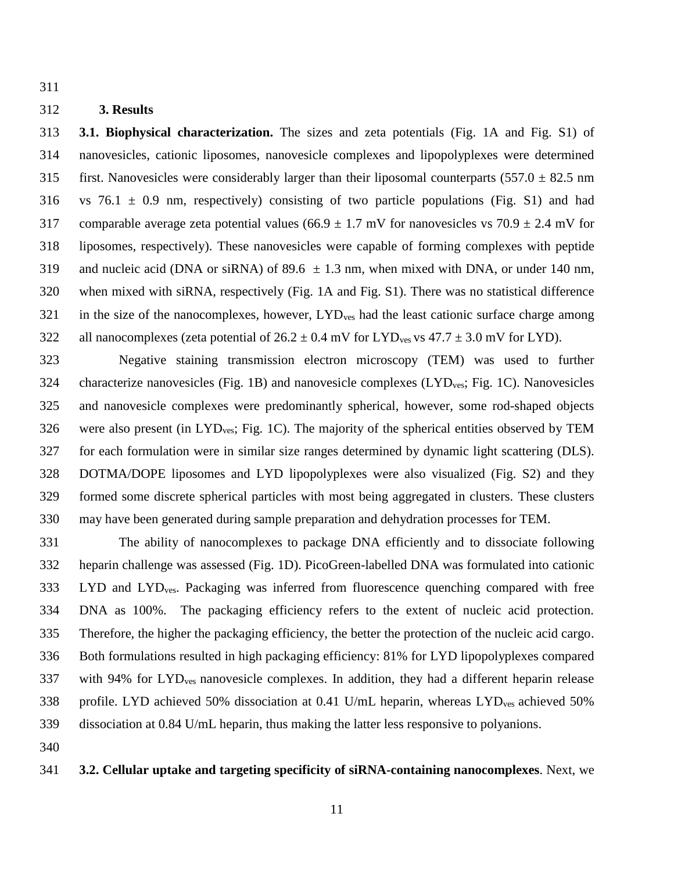## **3. Results**

 **3.1. Biophysical characterization.** The sizes and zeta potentials (Fig. 1A and Fig. S1) of nanovesicles, cationic liposomes, nanovesicle complexes and lipopolyplexes were determined 315 first. Nanovesicles were considerably larger than their liposomal counterparts (557.0  $\pm$  82.5 nm 316 vs 76.1  $\pm$  0.9 nm, respectively) consisting of two particle populations (Fig. S1) and had 317 comparable average zeta potential values (66.9  $\pm$  1.7 mV for nanovesicles vs 70.9  $\pm$  2.4 mV for liposomes, respectively). These nanovesicles were capable of forming complexes with peptide 319 and nucleic acid (DNA or siRNA) of 89.6  $\pm$  1.3 nm, when mixed with DNA, or under 140 nm, when mixed with siRNA, respectively (Fig. 1A and Fig. S1). There was no statistical difference in the size of the nanocomplexes, however,  $LYD_{ves}$  had the least cationic surface charge among 322 all nanocomplexes (zeta potential of  $26.2 \pm 0.4$  mV for LYD<sub>ves</sub> vs  $47.7 \pm 3.0$  mV for LYD).

 Negative staining transmission electron microscopy (TEM) was used to further characterize nanovesicles (Fig. 1B) and nanovesicle complexes (LYDves; Fig. 1C). Nanovesicles and nanovesicle complexes were predominantly spherical, however, some rod-shaped objects 326 were also present (in LYD<sub>ves</sub>; Fig. 1C). The majority of the spherical entities observed by TEM for each formulation were in similar size ranges determined by dynamic light scattering (DLS). DOTMA/DOPE liposomes and LYD lipopolyplexes were also visualized (Fig. S2) and they formed some discrete spherical particles with most being aggregated in clusters. These clusters may have been generated during sample preparation and dehydration processes for TEM.

 The ability of nanocomplexes to package DNA efficiently and to dissociate following heparin challenge was assessed (Fig. 1D). PicoGreen-labelled DNA was formulated into cationic LYD and LYDves. Packaging was inferred from fluorescence quenching compared with free DNA as 100%. The packaging efficiency refers to the extent of nucleic acid protection. Therefore, the higher the packaging efficiency, the better the protection of the nucleic acid cargo. Both formulations resulted in high packaging efficiency: 81% for LYD lipopolyplexes compared with 94% for LYDves nanovesicle complexes. In addition, they had a different heparin release 338 profile. LYD achieved 50% dissociation at 0.41 U/mL heparin, whereas LYD<sub>ves</sub> achieved 50% dissociation at 0.84 U/mL heparin, thus making the latter less responsive to polyanions.

#### **3.2. Cellular uptake and targeting specificity of siRNA-containing nanocomplexes**. Next, we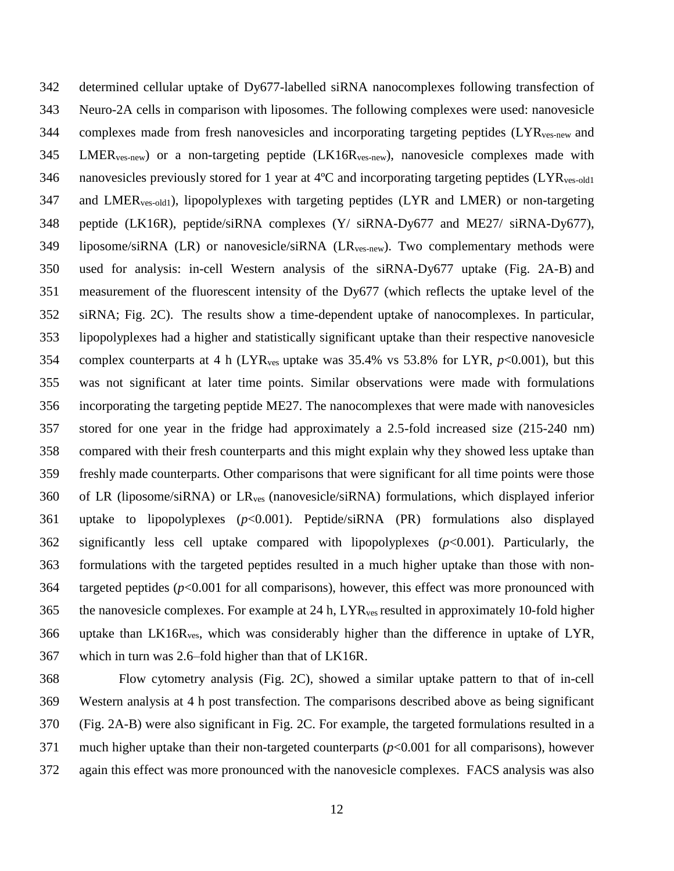determined cellular uptake of Dy677-labelled siRNA nanocomplexes following transfection of Neuro-2A cells in comparison with liposomes. The following complexes were used: nanovesicle 344 complexes made from fresh nanovesicles and incorporating targeting peptides (LYR<sub>ves-new</sub> and LMERves-new) or a non-targeting peptide (LK16Rves-new), nanovesicle complexes made with 346 nanovesicles previously stored for 1 year at  $4^{\circ}$ C and incorporating targeting peptides (LYR<sub>ves-old1</sub>) 347 and LMER<sub>ves-old1</sub>), lipopolyplexes with targeting peptides (LYR and LMER) or non-targeting peptide (LK16R), peptide/siRNA complexes (Y/ siRNA-Dy677 and ME27/ siRNA-Dy677), liposome/siRNA (LR) or nanovesicle/siRNA (LRves-new). Two complementary methods were used for analysis: in-cell Western analysis of the siRNA-Dy677 uptake (Fig. 2A-B) and measurement of the fluorescent intensity of the Dy677 (which reflects the uptake level of the siRNA; Fig. 2C). The results show a time-dependent uptake of nanocomplexes. In particular, lipopolyplexes had a higher and statistically significant uptake than their respective nanovesicle complex counterparts at 4 h (LYRves uptake was 35.4% vs 53.8% for LYR, *p*<0.001), but this was not significant at later time points. Similar observations were made with formulations incorporating the targeting peptide ME27. The nanocomplexes that were made with nanovesicles stored for one year in the fridge had approximately a 2.5-fold increased size (215-240 nm) compared with their fresh counterparts and this might explain why they showed less uptake than freshly made counterparts. Other comparisons that were significant for all time points were those of LR (liposome/siRNA) or LRves (nanovesicle/siRNA) formulations, which displayed inferior uptake to lipopolyplexes (*p*<0.001). Peptide/siRNA (PR) formulations also displayed significantly less cell uptake compared with lipopolyplexes (*p*<0.001). Particularly, the formulations with the targeted peptides resulted in a much higher uptake than those with non- targeted peptides (*p*<0.001 for all comparisons), however, this effect was more pronounced with the nanovesicle complexes. For example at 24 h, LYRves resulted in approximately 10-fold higher uptake than LK16Rves, which was considerably higher than the difference in uptake of LYR, which in turn was 2.6–fold higher than that of LK16R.

 Flow cytometry analysis (Fig. 2C), showed a similar uptake pattern to that of in-cell Western analysis at 4 h post transfection. The comparisons described above as being significant (Fig. 2A-B) were also significant in Fig. 2C. For example, the targeted formulations resulted in a much higher uptake than their non-targeted counterparts (*p*<0.001 for all comparisons), however again this effect was more pronounced with the nanovesicle complexes. FACS analysis was also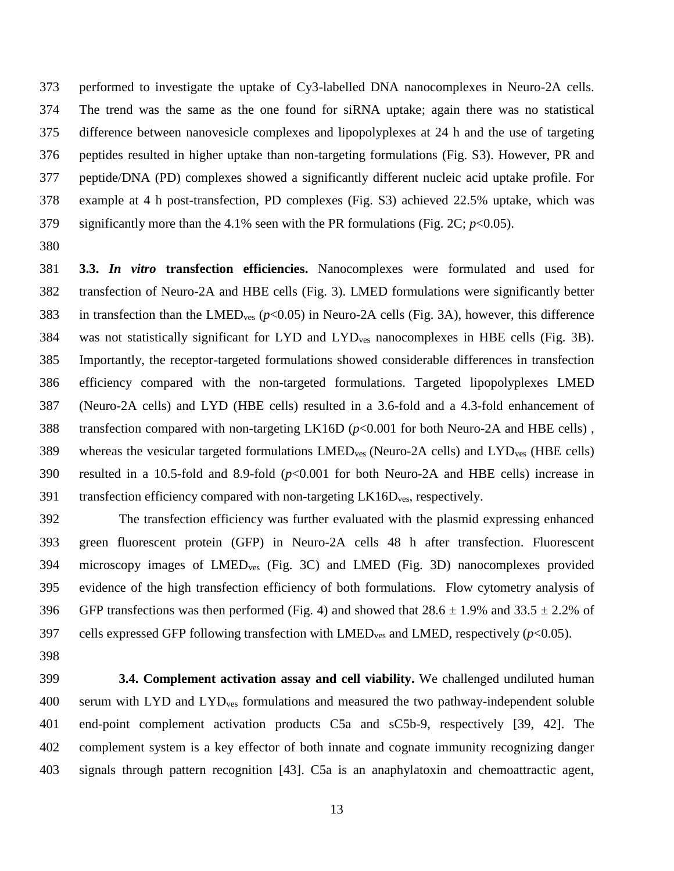performed to investigate the uptake of Cy3-labelled DNA nanocomplexes in Neuro-2A cells. The trend was the same as the one found for siRNA uptake; again there was no statistical difference between nanovesicle complexes and lipopolyplexes at 24 h and the use of targeting peptides resulted in higher uptake than non-targeting formulations (Fig. S3). However, PR and peptide/DNA (PD) complexes showed a significantly different nucleic acid uptake profile. For example at 4 h post-transfection, PD complexes (Fig. S3) achieved 22.5% uptake, which was 379 significantly more than the 4.1% seen with the PR formulations (Fig. 2C;  $p<0.05$ ).

 **3.3.** *In vitro* **transfection efficiencies.** Nanocomplexes were formulated and used for transfection of Neuro-2A and HBE cells (Fig. 3). LMED formulations were significantly better in transfection than the LMEDves (*p*<0.05) in Neuro-2A cells (Fig. 3A), however, this difference 384 was not statistically significant for LYD and LYD<sub>ves</sub> nanocomplexes in HBE cells (Fig. 3B). Importantly, the receptor-targeted formulations showed considerable differences in transfection efficiency compared with the non-targeted formulations. Targeted lipopolyplexes LMED (Neuro-2A cells) and LYD (HBE cells) resulted in a 3.6-fold and a 4.3-fold enhancement of 388 transfection compared with non-targeting LK16D ( $p$ <0.001 for both Neuro-2A and HBE cells), 389 whereas the vesicular targeted formulations  $\text{LMED}_{ves}$  (Neuro-2A cells) and  $\text{LYD}_{ves}$  (HBE cells) resulted in a 10.5-fold and 8.9-fold (*p*<0.001 for both Neuro-2A and HBE cells) increase in transfection efficiency compared with non-targeting LK16D<sub>ves</sub>, respectively.

 The transfection efficiency was further evaluated with the plasmid expressing enhanced green fluorescent protein (GFP) in Neuro-2A cells 48 h after transfection. Fluorescent microscopy images of LMEDves (Fig. 3C) and LMED (Fig. 3D) nanocomplexes provided evidence of the high transfection efficiency of both formulations. Flow cytometry analysis of 396 GFP transfections was then performed (Fig. 4) and showed that  $28.6 \pm 1.9\%$  and  $33.5 \pm 2.2\%$  of 397 cells expressed GFP following transfection with  $LMED_{ves}$  and  $LMED$ , respectively ( $p<0.05$ ).

 **3.4. Complement activation assay and cell viability.** We challenged undiluted human 400 serum with LYD and LYD<sub>ves</sub> formulations and measured the two pathway-independent soluble end-point complement activation products C5a and sC5b-9, respectively [39, 42]. The complement system is a key effector of both innate and cognate immunity recognizing danger signals through pattern recognition [43]. C5a is an anaphylatoxin and chemoattractic agent,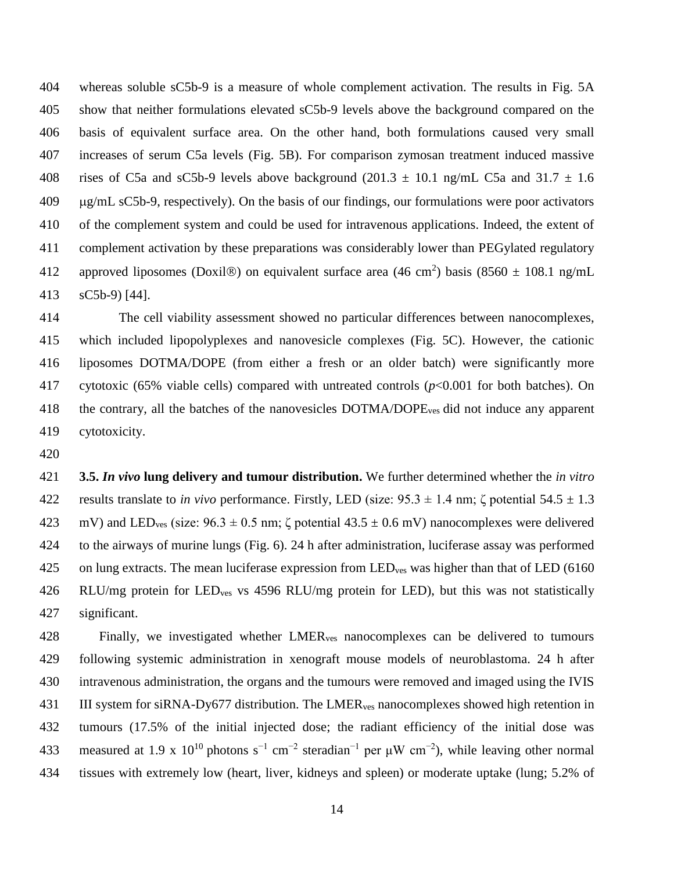whereas soluble sC5b-9 is a measure of whole complement activation. The results in Fig. 5A show that neither formulations elevated sC5b-9 levels above the background compared on the basis of equivalent surface area. On the other hand, both formulations caused very small increases of serum C5a levels (Fig. 5B). For comparison zymosan treatment induced massive 408 rises of C5a and sC5b-9 levels above background  $(201.3 \pm 10.1 \text{ ng/mL C5a}$  and  $31.7 \pm 1.6$  g/mL sC5b-9, respectively). On the basis of our findings, our formulations were poor activators of the complement system and could be used for intravenous applications. Indeed, the extent of complement activation by these preparations was considerably lower than PEGylated regulatory 412 approved liposomes (Doxil®) on equivalent surface area (46 cm<sup>2</sup>) basis (8560 ± 108.1 ng/mL sC5b-9) [44].

 The cell viability assessment showed no particular differences between nanocomplexes, which included lipopolyplexes and nanovesicle complexes (Fig. 5C). However, the cationic liposomes DOTMA/DOPE (from either a fresh or an older batch) were significantly more cytotoxic (65% viable cells) compared with untreated controls (*p*<0.001 for both batches). On 418 the contrary, all the batches of the nanovesicles DOTMA/DOPE<sub>ves</sub> did not induce any apparent cytotoxicity.

 **3.5.** *In vivo* **lung delivery and tumour distribution.** We further determined whether the *in vitro*  422 results translate to *in vivo* performance. Firstly, LED (size:  $95.3 \pm 1.4$  nm;  $\zeta$  potential  $54.5 \pm 1.3$ 423 mV) and LED<sub>ves</sub> (size:  $96.3 \pm 0.5$  nm;  $\zeta$  potential  $43.5 \pm 0.6$  mV) nanocomplexes were delivered to the airways of murine lungs (Fig. 6). 24 h after administration, luciferase assay was performed 425 on lung extracts. The mean luciferase expression from LED<sub>ves</sub> was higher than that of LED (6160) 426 RLU/mg protein for LED<sub>ves</sub> vs 4596 RLU/mg protein for LED), but this was not statistically significant.

428 Finally, we investigated whether LMER<sub>ves</sub> nanocomplexes can be delivered to tumours following systemic administration in xenograft mouse models of neuroblastoma. 24 h after intravenous administration, the organs and the tumours were removed and imaged using the IVIS 431 III system for siRNA-Dy677 distribution. The LMER<sub>ves</sub> nanocomplexes showed high retention in tumours (17.5% of the initial injected dose; the radiant efficiency of the initial dose was 433 measured at 1.9 x 10<sup>10</sup> photons s<sup>-1</sup> cm<sup>-2</sup> steradian<sup>-1</sup> per  $\mu$ W cm<sup>-2</sup>), while leaving other normal tissues with extremely low (heart, liver, kidneys and spleen) or moderate uptake (lung; 5.2% of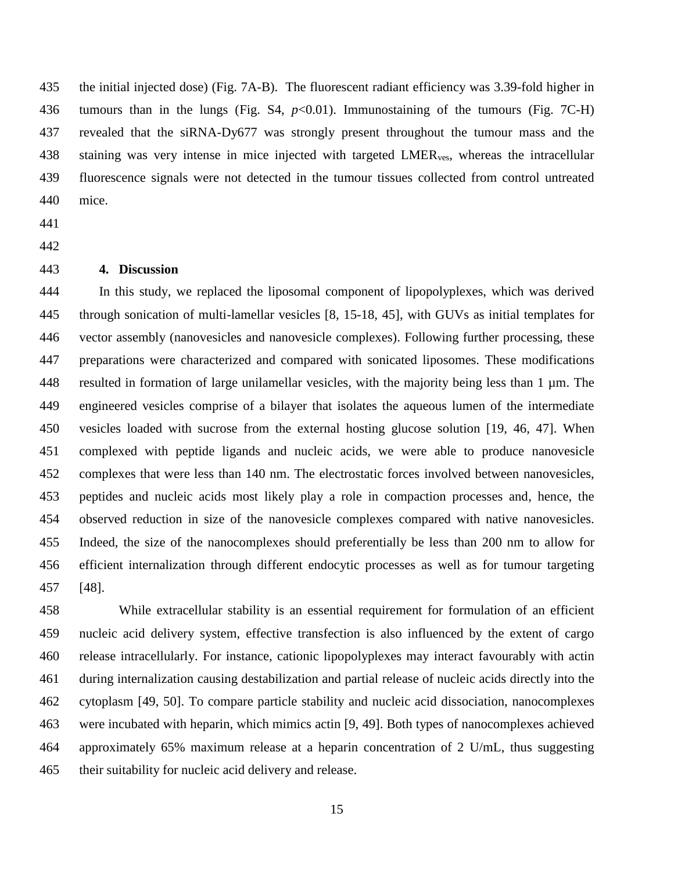the initial injected dose) (Fig. 7A-B). The fluorescent radiant efficiency was 3.39-fold higher in tumours than in the lungs (Fig. S4, *p*<0.01). Immunostaining of the tumours (Fig. 7C-H) revealed that the siRNA-Dy677 was strongly present throughout the tumour mass and the staining was very intense in mice injected with targeted LMERves, whereas the intracellular fluorescence signals were not detected in the tumour tissues collected from control untreated mice.

- 
- 

#### **4. Discussion**

 In this study, we replaced the liposomal component of lipopolyplexes, which was derived through sonication of multi-lamellar vesicles [8, 15-18, 45], with GUVs as initial templates for vector assembly (nanovesicles and nanovesicle complexes). Following further processing, these preparations were characterized and compared with sonicated liposomes. These modifications resulted in formation of large unilamellar vesicles, with the majority being less than 1 µm. The engineered vesicles comprise of a bilayer that isolates the aqueous lumen of the intermediate vesicles loaded with sucrose from the external hosting glucose solution [19, 46, 47]. When complexed with peptide ligands and nucleic acids, we were able to produce nanovesicle complexes that were less than 140 nm. The electrostatic forces involved between nanovesicles, peptides and nucleic acids most likely play a role in compaction processes and, hence, the observed reduction in size of the nanovesicle complexes compared with native nanovesicles. Indeed, the size of the nanocomplexes should preferentially be less than 200 nm to allow for efficient internalization through different endocytic processes as well as for tumour targeting [48].

 While extracellular stability is an essential requirement for formulation of an efficient nucleic acid delivery system, effective transfection is also influenced by the extent of cargo release intracellularly. For instance, cationic lipopolyplexes may interact favourably with actin during internalization causing destabilization and partial release of nucleic acids directly into the cytoplasm [49, 50]. To compare particle stability and nucleic acid dissociation, nanocomplexes were incubated with heparin, which mimics actin [9, 49]. Both types of nanocomplexes achieved approximately 65% maximum release at a heparin concentration of 2 U/mL, thus suggesting their suitability for nucleic acid delivery and release.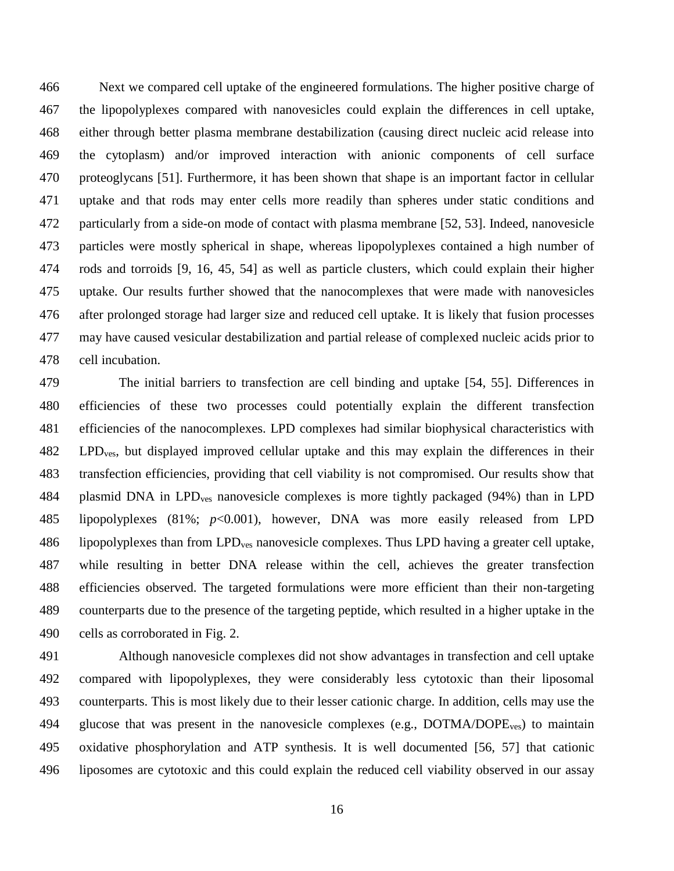Next we compared cell uptake of the engineered formulations. The higher positive charge of the lipopolyplexes compared with nanovesicles could explain the differences in cell uptake, either through better plasma membrane destabilization (causing direct nucleic acid release into the cytoplasm) and/or improved interaction with anionic components of cell surface proteoglycans [51]. Furthermore, it has been shown that shape is an important factor in cellular uptake and that rods may enter cells more readily than spheres under static conditions and particularly from a side-on mode of contact with plasma membrane [52, 53]. Indeed, nanovesicle particles were mostly spherical in shape, whereas lipopolyplexes contained a high number of rods and torroids [9, 16, 45, 54] as well as particle clusters, which could explain their higher uptake. Our results further showed that the nanocomplexes that were made with nanovesicles after prolonged storage had larger size and reduced cell uptake. It is likely that fusion processes may have caused vesicular destabilization and partial release of complexed nucleic acids prior to cell incubation.

 The initial barriers to transfection are cell binding and uptake [54, 55]. Differences in efficiencies of these two processes could potentially explain the different transfection efficiencies of the nanocomplexes. LPD complexes had similar biophysical characteristics with LPDves, but displayed improved cellular uptake and this may explain the differences in their transfection efficiencies, providing that cell viability is not compromised. Our results show that plasmid DNA in LPDves nanovesicle complexes is more tightly packaged (94%) than in LPD lipopolyplexes (81%; *p*<0.001), however, DNA was more easily released from LPD 486 lipopolyplexes than from LPD<sub>ves</sub> nanovesicle complexes. Thus LPD having a greater cell uptake, while resulting in better DNA release within the cell, achieves the greater transfection efficiencies observed. The targeted formulations were more efficient than their non-targeting counterparts due to the presence of the targeting peptide, which resulted in a higher uptake in the cells as corroborated in Fig. 2.

 Although nanovesicle complexes did not show advantages in transfection and cell uptake compared with lipopolyplexes, they were considerably less cytotoxic than their liposomal counterparts. This is most likely due to their lesser cationic charge. In addition, cells may use the 494 glucose that was present in the nanovesicle complexes (e.g., DOTMA/DOPE<sub>ves</sub>) to maintain oxidative phosphorylation and ATP synthesis. It is well documented [56, 57] that cationic liposomes are cytotoxic and this could explain the reduced cell viability observed in our assay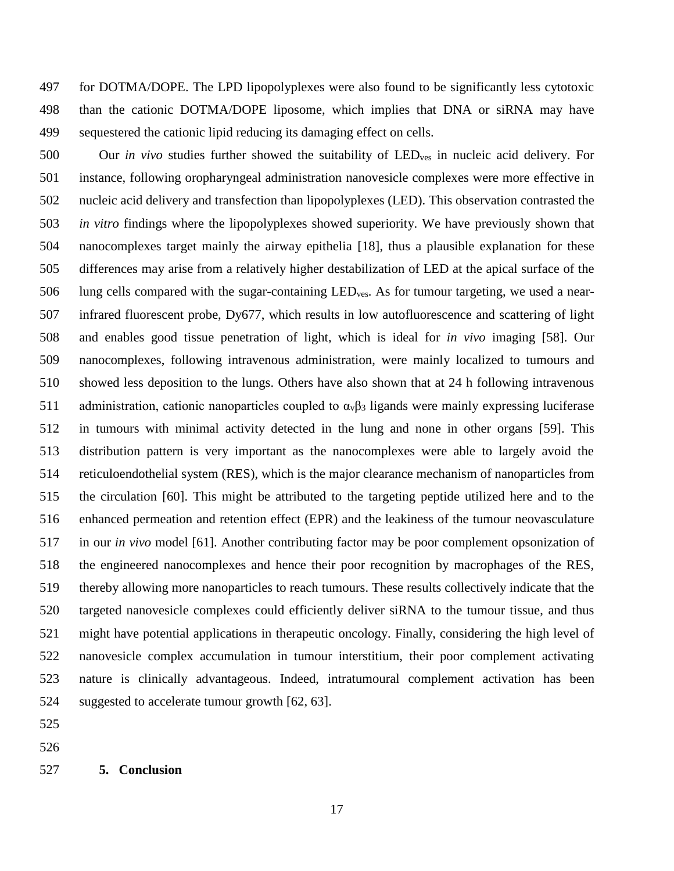for DOTMA/DOPE. The LPD lipopolyplexes were also found to be significantly less cytotoxic than the cationic DOTMA/DOPE liposome, which implies that DNA or siRNA may have sequestered the cationic lipid reducing its damaging effect on cells.

 Our *in vivo* studies further showed the suitability of LEDves in nucleic acid delivery. For instance, following oropharyngeal administration nanovesicle complexes were more effective in nucleic acid delivery and transfection than lipopolyplexes (LED). This observation contrasted the *in vitro* findings where the lipopolyplexes showed superiority. We have previously shown that nanocomplexes target mainly the airway epithelia [18], thus a plausible explanation for these differences may arise from a relatively higher destabilization of LED at the apical surface of the lung cells compared with the sugar-containing LEDves. As for tumour targeting, we used a near- infrared fluorescent probe, Dy677, which results in low autofluorescence and scattering of light and enables good tissue penetration of light, which is ideal for *in vivo* imaging [58]. Our nanocomplexes, following intravenous administration, were mainly localized to tumours and showed less deposition to the lungs. Others have also shown that at 24 h following intravenous 511 administration, cationic nanoparticles coupled to  $\alpha_{\nu}\beta_3$  ligands were mainly expressing luciferase in tumours with minimal activity detected in the lung and none in other organs [59]. This distribution pattern is very important as the nanocomplexes were able to largely avoid the reticuloendothelial system (RES), which is the major clearance mechanism of nanoparticles from the circulation [60]. This might be attributed to the targeting peptide utilized here and to the enhanced permeation and retention effect (EPR) and the leakiness of the tumour neovasculature in our *in vivo* model [61]. Another contributing factor may be poor complement opsonization of the engineered nanocomplexes and hence their poor recognition by macrophages of the RES, thereby allowing more nanoparticles to reach tumours. These results collectively indicate that the targeted nanovesicle complexes could efficiently deliver siRNA to the tumour tissue, and thus might have potential applications in therapeutic oncology. Finally, considering the high level of nanovesicle complex accumulation in tumour interstitium, their poor complement activating nature is clinically advantageous. Indeed, intratumoural complement activation has been suggested to accelerate tumour growth [62, 63].

- 
- 

#### **5. Conclusion**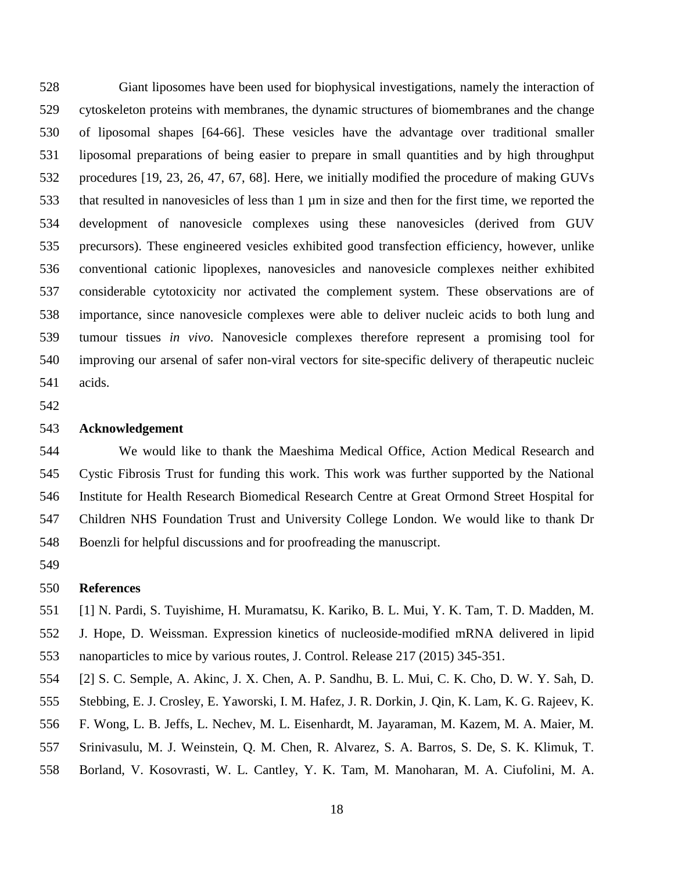Giant liposomes have been used for biophysical investigations, namely the interaction of cytoskeleton proteins with membranes, the dynamic structures of biomembranes and the change of liposomal shapes [64-66]. These vesicles have the advantage over traditional smaller liposomal preparations of being easier to prepare in small quantities and by high throughput procedures [19, 23, 26, 47, 67, 68]. Here, we initially modified the procedure of making GUVs that resulted in nanovesicles of less than 1 µm in size and then for the first time, we reported the development of nanovesicle complexes using these nanovesicles (derived from GUV precursors). These engineered vesicles exhibited good transfection efficiency, however, unlike conventional cationic lipoplexes, nanovesicles and nanovesicle complexes neither exhibited considerable cytotoxicity nor activated the complement system. These observations are of importance, since nanovesicle complexes were able to deliver nucleic acids to both lung and tumour tissues *in vivo*. Nanovesicle complexes therefore represent a promising tool for improving our arsenal of safer non-viral vectors for site-specific delivery of therapeutic nucleic acids.

#### **Acknowledgement**

 We would like to thank the Maeshima Medical Office, Action Medical Research and Cystic Fibrosis Trust for funding this work. This work was further supported by the National Institute for Health Research Biomedical Research Centre at Great Ormond Street Hospital for Children NHS Foundation Trust and University College London. We would like to thank Dr Boenzli for helpful discussions and for proofreading the manuscript.

## **References**

- [1] N. Pardi, S. Tuyishime, H. Muramatsu, K. Kariko, B. L. Mui, Y. K. Tam, T. D. Madden, M.
- J. Hope, D. Weissman. Expression kinetics of nucleoside-modified mRNA delivered in lipid
- nanoparticles to mice by various routes, J. Control. Release 217 (2015) 345-351.
- [2] S. C. Semple, A. Akinc, J. X. Chen, A. P. Sandhu, B. L. Mui, C. K. Cho, D. W. Y. Sah, D.
- Stebbing, E. J. Crosley, E. Yaworski, I. M. Hafez, J. R. Dorkin, J. Qin, K. Lam, K. G. Rajeev, K.
- F. Wong, L. B. Jeffs, L. Nechev, M. L. Eisenhardt, M. Jayaraman, M. Kazem, M. A. Maier, M.
- Srinivasulu, M. J. Weinstein, Q. M. Chen, R. Alvarez, S. A. Barros, S. De, S. K. Klimuk, T.
- Borland, V. Kosovrasti, W. L. Cantley, Y. K. Tam, M. Manoharan, M. A. Ciufolini, M. A.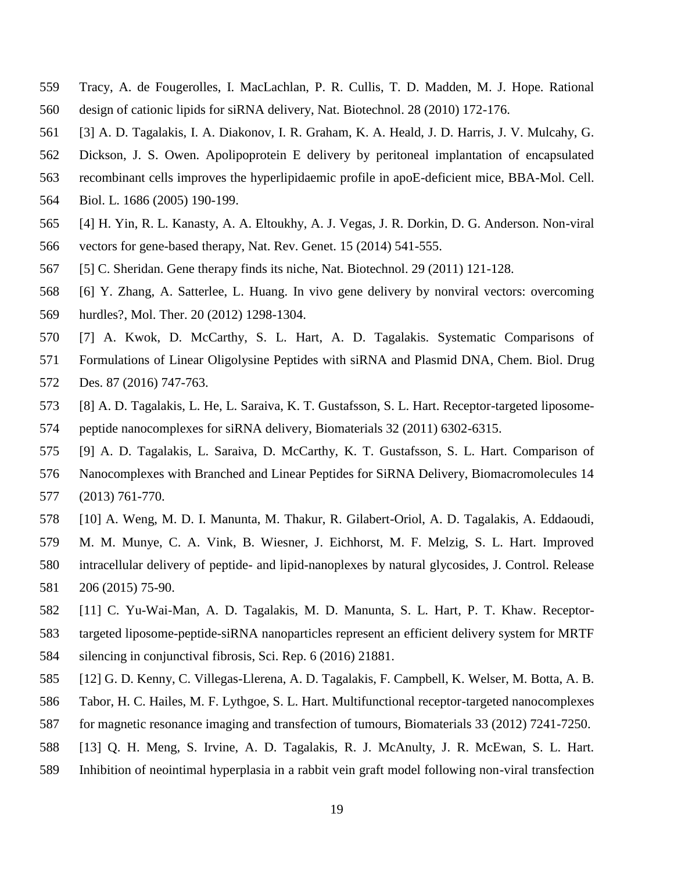- Tracy, A. de Fougerolles, I. MacLachlan, P. R. Cullis, T. D. Madden, M. J. Hope. Rational design of cationic lipids for siRNA delivery, Nat. Biotechnol. 28 (2010) 172-176.
- [3] A. D. Tagalakis, I. A. Diakonov, I. R. Graham, K. A. Heald, J. D. Harris, J. V. Mulcahy, G.
- Dickson, J. S. Owen. Apolipoprotein E delivery by peritoneal implantation of encapsulated
- recombinant cells improves the hyperlipidaemic profile in apoE-deficient mice, BBA-Mol. Cell.
- Biol. L. 1686 (2005) 190-199.
- [4] H. Yin, R. L. Kanasty, A. A. Eltoukhy, A. J. Vegas, J. R. Dorkin, D. G. Anderson. Non-viral
- vectors for gene-based therapy, Nat. Rev. Genet. 15 (2014) 541-555.
- [5] C. Sheridan. Gene therapy finds its niche, Nat. Biotechnol. 29 (2011) 121-128.
- [6] Y. Zhang, A. Satterlee, L. Huang. In vivo gene delivery by nonviral vectors: overcoming
- hurdles?, Mol. Ther. 20 (2012) 1298-1304.
- [7] A. Kwok, D. McCarthy, S. L. Hart, A. D. Tagalakis. Systematic Comparisons of
- Formulations of Linear Oligolysine Peptides with siRNA and Plasmid DNA, Chem. Biol. Drug Des. 87 (2016) 747-763.
- [8] A. D. Tagalakis, L. He, L. Saraiva, K. T. Gustafsson, S. L. Hart. Receptor-targeted liposome-peptide nanocomplexes for siRNA delivery, Biomaterials 32 (2011) 6302-6315.
- [9] A. D. Tagalakis, L. Saraiva, D. McCarthy, K. T. Gustafsson, S. L. Hart. Comparison of Nanocomplexes with Branched and Linear Peptides for SiRNA Delivery, Biomacromolecules 14 (2013) 761-770.
- [10] A. Weng, M. D. I. Manunta, M. Thakur, R. Gilabert-Oriol, A. D. Tagalakis, A. Eddaoudi, M. M. Munye, C. A. Vink, B. Wiesner, J. Eichhorst, M. F. Melzig, S. L. Hart. Improved intracellular delivery of peptide- and lipid-nanoplexes by natural glycosides, J. Control. Release 206 (2015) 75-90.
- [11] C. Yu-Wai-Man, A. D. Tagalakis, M. D. Manunta, S. L. Hart, P. T. Khaw. Receptor-
- targeted liposome-peptide-siRNA nanoparticles represent an efficient delivery system for MRTF
- silencing in conjunctival fibrosis, Sci. Rep. 6 (2016) 21881.
- [12] G. D. Kenny, C. Villegas-Llerena, A. D. Tagalakis, F. Campbell, K. Welser, M. Botta, A. B.
- Tabor, H. C. Hailes, M. F. Lythgoe, S. L. Hart. Multifunctional receptor-targeted nanocomplexes
- for magnetic resonance imaging and transfection of tumours, Biomaterials 33 (2012) 7241-7250.
- [13] Q. H. Meng, S. Irvine, A. D. Tagalakis, R. J. McAnulty, J. R. McEwan, S. L. Hart.
- Inhibition of neointimal hyperplasia in a rabbit vein graft model following non-viral transfection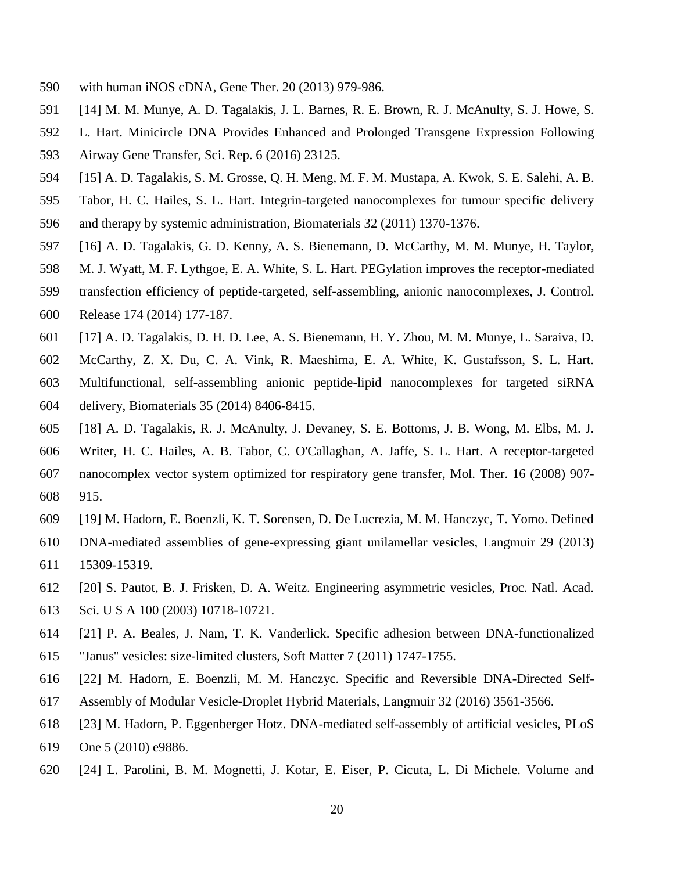- with human iNOS cDNA, Gene Ther. 20 (2013) 979-986.
- [14] M. M. Munye, A. D. Tagalakis, J. L. Barnes, R. E. Brown, R. J. McAnulty, S. J. Howe, S.
- L. Hart. Minicircle DNA Provides Enhanced and Prolonged Transgene Expression Following
- Airway Gene Transfer, Sci. Rep. 6 (2016) 23125.
- [15] A. D. Tagalakis, S. M. Grosse, Q. H. Meng, M. F. M. Mustapa, A. Kwok, S. E. Salehi, A. B.
- Tabor, H. C. Hailes, S. L. Hart. Integrin-targeted nanocomplexes for tumour specific delivery and therapy by systemic administration, Biomaterials 32 (2011) 1370-1376.
- [16] A. D. Tagalakis, G. D. Kenny, A. S. Bienemann, D. McCarthy, M. M. Munye, H. Taylor,
- M. J. Wyatt, M. F. Lythgoe, E. A. White, S. L. Hart. PEGylation improves the receptor-mediated
- transfection efficiency of peptide-targeted, self-assembling, anionic nanocomplexes, J. Control.
- Release 174 (2014) 177-187.
- [17] A. D. Tagalakis, D. H. D. Lee, A. S. Bienemann, H. Y. Zhou, M. M. Munye, L. Saraiva, D.
- McCarthy, Z. X. Du, C. A. Vink, R. Maeshima, E. A. White, K. Gustafsson, S. L. Hart.
- Multifunctional, self-assembling anionic peptide-lipid nanocomplexes for targeted siRNA delivery, Biomaterials 35 (2014) 8406-8415.
- [18] A. D. Tagalakis, R. J. McAnulty, J. Devaney, S. E. Bottoms, J. B. Wong, M. Elbs, M. J. Writer, H. C. Hailes, A. B. Tabor, C. O'Callaghan, A. Jaffe, S. L. Hart. A receptor-targeted
- nanocomplex vector system optimized for respiratory gene transfer, Mol. Ther. 16 (2008) 907- 915.
- [19] M. Hadorn, E. Boenzli, K. T. Sorensen, D. De Lucrezia, M. M. Hanczyc, T. Yomo. Defined
- DNA-mediated assemblies of gene-expressing giant unilamellar vesicles, Langmuir 29 (2013) 15309-15319.
- [20] S. Pautot, B. J. Frisken, D. A. Weitz. Engineering asymmetric vesicles, Proc. Natl. Acad.
- Sci. U S A 100 (2003) 10718-10721.
- [21] P. A. Beales, J. Nam, T. K. Vanderlick. Specific adhesion between DNA-functionalized
- "Janus'' vesicles: size-limited clusters, Soft Matter 7 (2011) 1747-1755.
- [22] M. Hadorn, E. Boenzli, M. M. Hanczyc. Specific and Reversible DNA-Directed Self-
- Assembly of Modular Vesicle-Droplet Hybrid Materials, Langmuir 32 (2016) 3561-3566.
- [23] M. Hadorn, P. Eggenberger Hotz. DNA-mediated self-assembly of artificial vesicles, PLoS One 5 (2010) e9886.
- [24] L. Parolini, B. M. Mognetti, J. Kotar, E. Eiser, P. Cicuta, L. Di Michele. Volume and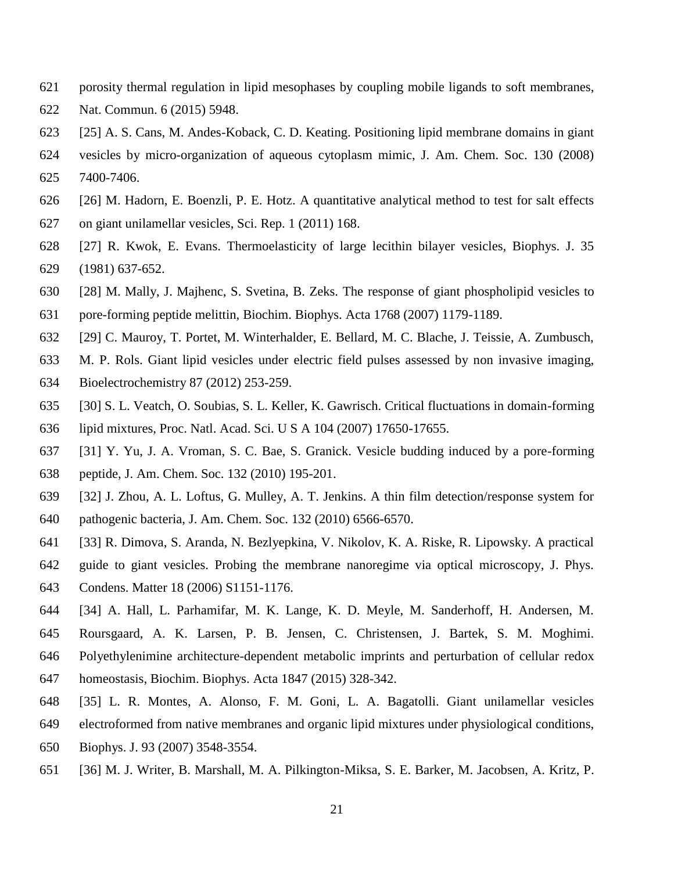- porosity thermal regulation in lipid mesophases by coupling mobile ligands to soft membranes,
- Nat. Commun. 6 (2015) 5948.
- [25] A. S. Cans, M. Andes-Koback, C. D. Keating. Positioning lipid membrane domains in giant
- vesicles by micro-organization of aqueous cytoplasm mimic, J. Am. Chem. Soc. 130 (2008) 7400-7406.
- [26] M. Hadorn, E. Boenzli, P. E. Hotz. A quantitative analytical method to test for salt effects on giant unilamellar vesicles, Sci. Rep. 1 (2011) 168.
- [27] R. Kwok, E. Evans. Thermoelasticity of large lecithin bilayer vesicles, Biophys. J. 35 (1981) 637-652.
- [28] M. Mally, J. Majhenc, S. Svetina, B. Zeks. The response of giant phospholipid vesicles to
- pore-forming peptide melittin, Biochim. Biophys. Acta 1768 (2007) 1179-1189.
- [29] C. Mauroy, T. Portet, M. Winterhalder, E. Bellard, M. C. Blache, J. Teissie, A. Zumbusch,
- M. P. Rols. Giant lipid vesicles under electric field pulses assessed by non invasive imaging, Bioelectrochemistry 87 (2012) 253-259.
- [30] S. L. Veatch, O. Soubias, S. L. Keller, K. Gawrisch. Critical fluctuations in domain-forming
- lipid mixtures, Proc. Natl. Acad. Sci. U S A 104 (2007) 17650-17655.
- [31] Y. Yu, J. A. Vroman, S. C. Bae, S. Granick. Vesicle budding induced by a pore-forming
- peptide, J. Am. Chem. Soc. 132 (2010) 195-201.
- [32] J. Zhou, A. L. Loftus, G. Mulley, A. T. Jenkins. A thin film detection/response system for pathogenic bacteria, J. Am. Chem. Soc. 132 (2010) 6566-6570.
- [33] R. Dimova, S. Aranda, N. Bezlyepkina, V. Nikolov, K. A. Riske, R. Lipowsky. A practical
- guide to giant vesicles. Probing the membrane nanoregime via optical microscopy, J. Phys.
- Condens. Matter 18 (2006) S1151-1176.
- [34] A. Hall, L. Parhamifar, M. K. Lange, K. D. Meyle, M. Sanderhoff, H. Andersen, M.
- Roursgaard, A. K. Larsen, P. B. Jensen, C. Christensen, J. Bartek, S. M. Moghimi.
- Polyethylenimine architecture-dependent metabolic imprints and perturbation of cellular redox
- homeostasis, Biochim. Biophys. Acta 1847 (2015) 328-342.
- [35] L. R. Montes, A. Alonso, F. M. Goni, L. A. Bagatolli. Giant unilamellar vesicles
- electroformed from native membranes and organic lipid mixtures under physiological conditions,
- Biophys. J. 93 (2007) 3548-3554.
- [36] M. J. Writer, B. Marshall, M. A. Pilkington-Miksa, S. E. Barker, M. Jacobsen, A. Kritz, P.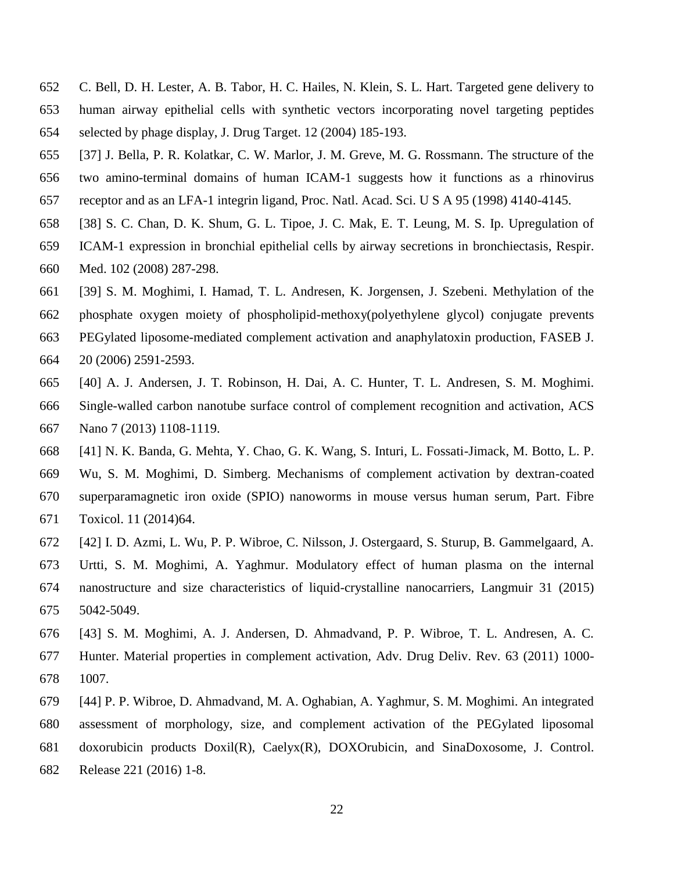- C. Bell, D. H. Lester, A. B. Tabor, H. C. Hailes, N. Klein, S. L. Hart. Targeted gene delivery to human airway epithelial cells with synthetic vectors incorporating novel targeting peptides selected by phage display, J. Drug Target. 12 (2004) 185-193.
- [37] J. Bella, P. R. Kolatkar, C. W. Marlor, J. M. Greve, M. G. Rossmann. The structure of the two amino-terminal domains of human ICAM-1 suggests how it functions as a rhinovirus receptor and as an LFA-1 integrin ligand, Proc. Natl. Acad. Sci. U S A 95 (1998) 4140-4145.
- [38] S. C. Chan, D. K. Shum, G. L. Tipoe, J. C. Mak, E. T. Leung, M. S. Ip. Upregulation of
- ICAM-1 expression in bronchial epithelial cells by airway secretions in bronchiectasis, Respir. Med. 102 (2008) 287-298.
- [39] S. M. Moghimi, I. Hamad, T. L. Andresen, K. Jorgensen, J. Szebeni. Methylation of the
- phosphate oxygen moiety of phospholipid-methoxy(polyethylene glycol) conjugate prevents
- PEGylated liposome-mediated complement activation and anaphylatoxin production, FASEB J.
- 20 (2006) 2591-2593.
- [40] A. J. Andersen, J. T. Robinson, H. Dai, A. C. Hunter, T. L. Andresen, S. M. Moghimi. Single-walled carbon nanotube surface control of complement recognition and activation, ACS Nano 7 (2013) 1108-1119.
- [41] N. K. Banda, G. Mehta, Y. Chao, G. K. Wang, S. Inturi, L. Fossati-Jimack, M. Botto, L. P.
- Wu, S. M. Moghimi, D. Simberg. Mechanisms of complement activation by dextran-coated superparamagnetic iron oxide (SPIO) nanoworms in mouse versus human serum, Part. Fibre Toxicol. 11 (2014)64.
- [42] I. D. Azmi, L. Wu, P. P. Wibroe, C. Nilsson, J. Ostergaard, S. Sturup, B. Gammelgaard, A.
- Urtti, S. M. Moghimi, A. Yaghmur. Modulatory effect of human plasma on the internal nanostructure and size characteristics of liquid-crystalline nanocarriers, Langmuir 31 (2015) 5042-5049.
- [43] S. M. Moghimi, A. J. Andersen, D. Ahmadvand, P. P. Wibroe, T. L. Andresen, A. C. Hunter. Material properties in complement activation, Adv. Drug Deliv. Rev. 63 (2011) 1000-
- 1007.
- [44] P. P. Wibroe, D. Ahmadvand, M. A. Oghabian, A. Yaghmur, S. M. Moghimi. An integrated
- assessment of morphology, size, and complement activation of the PEGylated liposomal
- doxorubicin products Doxil(R), Caelyx(R), DOXOrubicin, and SinaDoxosome, J. Control.
- Release 221 (2016) 1-8.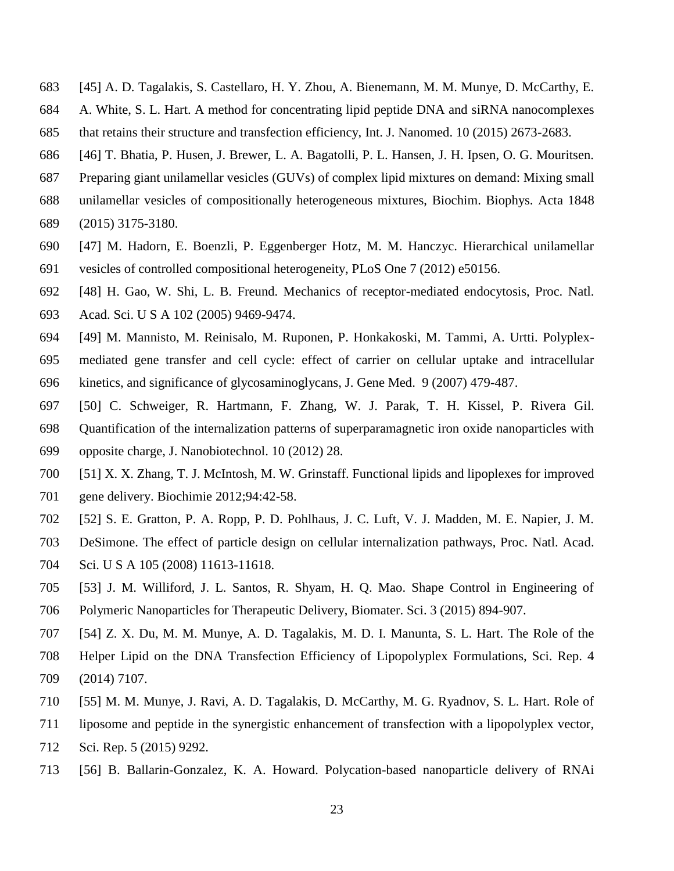- [45] A. D. Tagalakis, S. Castellaro, H. Y. Zhou, A. Bienemann, M. M. Munye, D. McCarthy, E.
- A. White, S. L. Hart. A method for concentrating lipid peptide DNA and siRNA nanocomplexes that retains their structure and transfection efficiency, Int. J. Nanomed. 10 (2015) 2673-2683.
- [46] T. Bhatia, P. Husen, J. Brewer, L. A. Bagatolli, P. L. Hansen, J. H. Ipsen, O. G. Mouritsen.
- Preparing giant unilamellar vesicles (GUVs) of complex lipid mixtures on demand: Mixing small
- unilamellar vesicles of compositionally heterogeneous mixtures, Biochim. Biophys. Acta 1848
- (2015) 3175-3180.
- [47] M. Hadorn, E. Boenzli, P. Eggenberger Hotz, M. M. Hanczyc. Hierarchical unilamellar vesicles of controlled compositional heterogeneity, PLoS One 7 (2012) e50156.
- [48] H. Gao, W. Shi, L. B. Freund. Mechanics of receptor-mediated endocytosis, Proc. Natl.
- Acad. Sci. U S A 102 (2005) 9469-9474.
- [49] M. Mannisto, M. Reinisalo, M. Ruponen, P. Honkakoski, M. Tammi, A. Urtti. Polyplex-
- mediated gene transfer and cell cycle: effect of carrier on cellular uptake and intracellular kinetics, and significance of glycosaminoglycans, J. Gene Med. 9 (2007) 479-487.
- [50] C. Schweiger, R. Hartmann, F. Zhang, W. J. Parak, T. H. Kissel, P. Rivera Gil. Quantification of the internalization patterns of superparamagnetic iron oxide nanoparticles with
- opposite charge, J. Nanobiotechnol. 10 (2012) 28.
- [51] X. X. Zhang, T. J. McIntosh, M. W. Grinstaff. Functional lipids and lipoplexes for improved gene delivery. Biochimie 2012;94:42-58.
- [52] S. E. Gratton, P. A. Ropp, P. D. Pohlhaus, J. C. Luft, V. J. Madden, M. E. Napier, J. M.
- DeSimone. The effect of particle design on cellular internalization pathways, Proc. Natl. Acad.
- Sci. U S A 105 (2008) 11613-11618.
- [53] J. M. Williford, J. L. Santos, R. Shyam, H. Q. Mao. Shape Control in Engineering of Polymeric Nanoparticles for Therapeutic Delivery, Biomater. Sci. 3 (2015) 894-907.
- [54] Z. X. Du, M. M. Munye, A. D. Tagalakis, M. D. I. Manunta, S. L. Hart. The Role of the
- Helper Lipid on the DNA Transfection Efficiency of Lipopolyplex Formulations, Sci. Rep. 4 (2014) 7107.
- [55] M. M. Munye, J. Ravi, A. D. Tagalakis, D. McCarthy, M. G. Ryadnov, S. L. Hart. Role of
- liposome and peptide in the synergistic enhancement of transfection with a lipopolyplex vector,
- Sci. Rep. 5 (2015) 9292.
- [56] B. Ballarin-Gonzalez, K. A. Howard. Polycation-based nanoparticle delivery of RNAi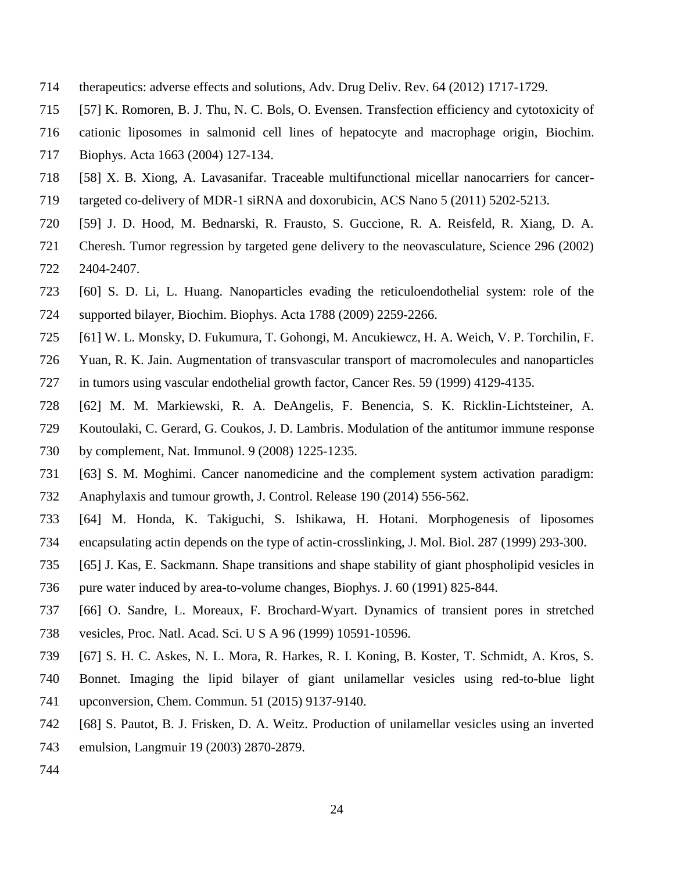- therapeutics: adverse effects and solutions, Adv. Drug Deliv. Rev. 64 (2012) 1717-1729.
- [57] K. Romoren, B. J. Thu, N. C. Bols, O. Evensen. Transfection efficiency and cytotoxicity of
- cationic liposomes in salmonid cell lines of hepatocyte and macrophage origin, Biochim.
- Biophys. Acta 1663 (2004) 127-134.
- [58] X. B. Xiong, A. Lavasanifar. Traceable multifunctional micellar nanocarriers for cancer-
- targeted co-delivery of MDR-1 siRNA and doxorubicin, ACS Nano 5 (2011) 5202-5213.
- [59] J. D. Hood, M. Bednarski, R. Frausto, S. Guccione, R. A. Reisfeld, R. Xiang, D. A.
- Cheresh. Tumor regression by targeted gene delivery to the neovasculature, Science 296 (2002) 2404-2407.
- [60] S. D. Li, L. Huang. Nanoparticles evading the reticuloendothelial system: role of the supported bilayer, Biochim. Biophys. Acta 1788 (2009) 2259-2266.
- [61] W. L. Monsky, D. Fukumura, T. Gohongi, M. Ancukiewcz, H. A. Weich, V. P. Torchilin, F.
- Yuan, R. K. Jain. Augmentation of transvascular transport of macromolecules and nanoparticles
- in tumors using vascular endothelial growth factor, Cancer Res. 59 (1999) 4129-4135.
- [62] M. M. Markiewski, R. A. DeAngelis, F. Benencia, S. K. Ricklin-Lichtsteiner, A.
- Koutoulaki, C. Gerard, G. Coukos, J. D. Lambris. Modulation of the antitumor immune response by complement, Nat. Immunol. 9 (2008) 1225-1235.
- [63] S. M. Moghimi. Cancer nanomedicine and the complement system activation paradigm: Anaphylaxis and tumour growth, J. Control. Release 190 (2014) 556-562.
- [64] M. Honda, K. Takiguchi, S. Ishikawa, H. Hotani. Morphogenesis of liposomes encapsulating actin depends on the type of actin-crosslinking, J. Mol. Biol. 287 (1999) 293-300.
- [65] J. Kas, E. Sackmann. Shape transitions and shape stability of giant phospholipid vesicles in 736 pure water induced by area-to-volume changes, Biophys. J. 60 (1991) 825-844.
- [66] O. Sandre, L. Moreaux, F. Brochard-Wyart. Dynamics of transient pores in stretched vesicles, Proc. Natl. Acad. Sci. U S A 96 (1999) 10591-10596.
- [67] S. H. C. Askes, N. L. Mora, R. Harkes, R. I. Koning, B. Koster, T. Schmidt, A. Kros, S.
- Bonnet. Imaging the lipid bilayer of giant unilamellar vesicles using red-to-blue light upconversion, Chem. Commun. 51 (2015) 9137-9140.
- [68] S. Pautot, B. J. Frisken, D. A. Weitz. Production of unilamellar vesicles using an inverted emulsion, Langmuir 19 (2003) 2870-2879.
-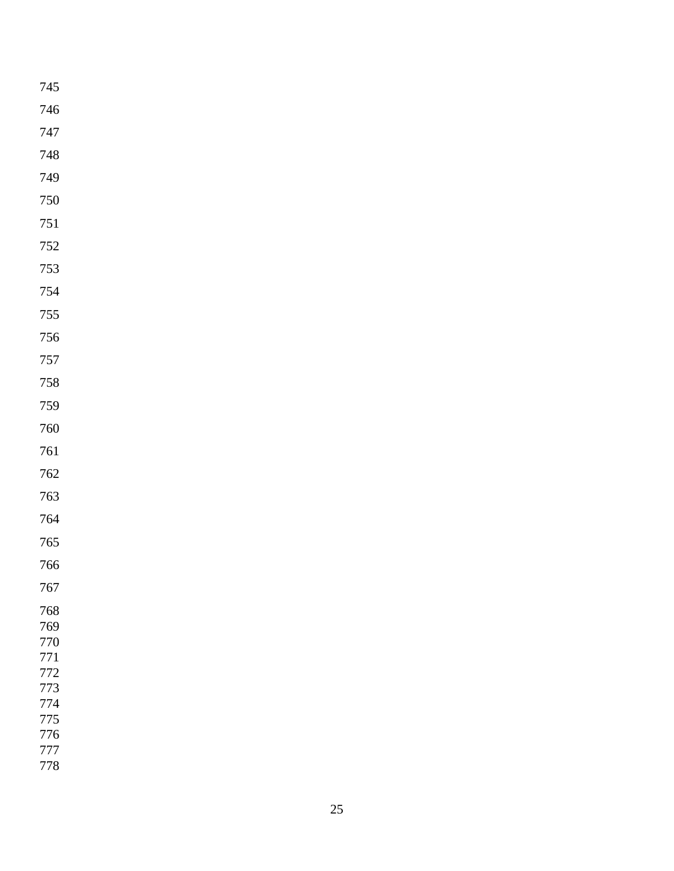| 745        |  |  |  |
|------------|--|--|--|
| 746        |  |  |  |
| 747        |  |  |  |
| 748        |  |  |  |
| 749        |  |  |  |
| 750        |  |  |  |
| 751        |  |  |  |
| 752        |  |  |  |
| 753        |  |  |  |
| 754        |  |  |  |
| 755        |  |  |  |
| 756        |  |  |  |
| 757        |  |  |  |
| 758        |  |  |  |
| 759        |  |  |  |
| 760        |  |  |  |
| 761        |  |  |  |
| 762        |  |  |  |
| 763        |  |  |  |
| 764        |  |  |  |
| 765        |  |  |  |
| 766        |  |  |  |
| 767        |  |  |  |
| 768        |  |  |  |
| 769<br>770 |  |  |  |
| 771        |  |  |  |
| 772<br>773 |  |  |  |
| 774        |  |  |  |
| 775        |  |  |  |
| 776        |  |  |  |
| 777        |  |  |  |
| 778        |  |  |  |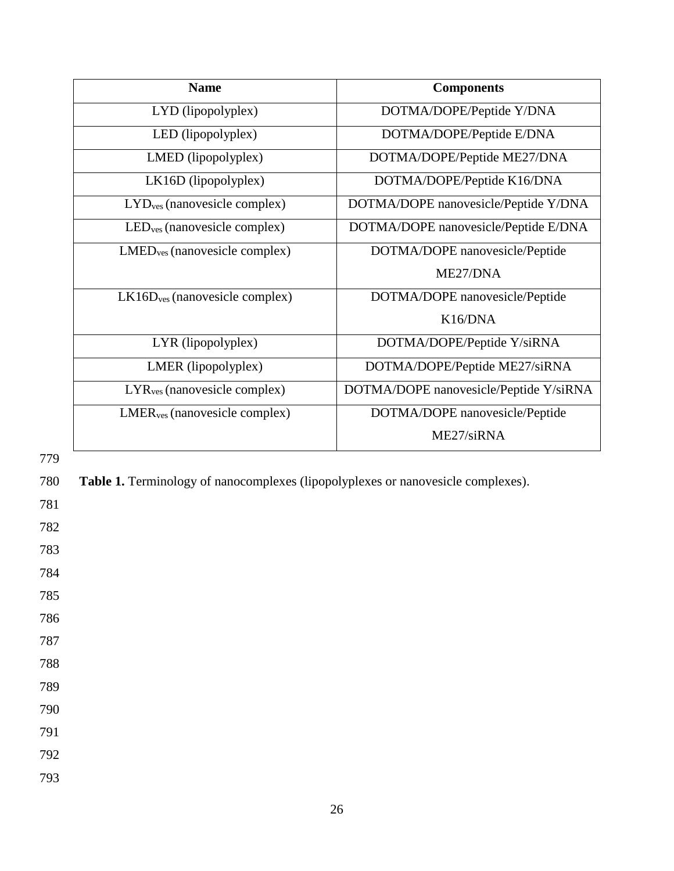| <b>Name</b>                         | <b>Components</b>                      |
|-------------------------------------|----------------------------------------|
| LYD (lipopolyplex)                  | DOTMA/DOPE/Peptide Y/DNA               |
| LED (lipopolyplex)                  | DOTMA/DOPE/Peptide E/DNA               |
| LMED (lipopolyplex)                 | DOTMA/DOPE/Peptide ME27/DNA            |
| $LK16D$ (lipopolyplex)              | DOTMA/DOPE/Peptide K16/DNA             |
| $LYD_{ves}$ (nanovesicle complex)   | DOTMA/DOPE nanovesicle/Peptide Y/DNA   |
| $LEDves$ (nanovesicle complex)      | DOTMA/DOPE nanovesicle/Peptide E/DNA   |
| $LMED_{ves}$ (nanovesicle complex)  | DOTMA/DOPE nanovesicle/Peptide         |
|                                     | ME27/DNA                               |
| $LK16D_{ves}$ (nanovesicle complex) | DOTMA/DOPE nanovesicle/Peptide         |
|                                     | K <sub>16</sub> /DNA                   |
| LYR (lipopolyplex)                  | DOTMA/DOPE/Peptide Y/siRNA             |
| LMER (lipopolyplex)                 | DOTMA/DOPE/Peptide ME27/siRNA          |
| $LYRves$ (nanovesicle complex)      | DOTMA/DOPE nanovesicle/Peptide Y/siRNA |
| $LMER_{ves}$ (nanovesicle complex)  | DOTMA/DOPE nanovesicle/Peptide         |
|                                     | ME27/siRNA                             |

779

780 **Table 1.** Terminology of nanocomplexes (lipopolyplexes or nanovesicle complexes).

781 782

783

784

- 785
- 786
- 787
- 788
- 789

790

791

792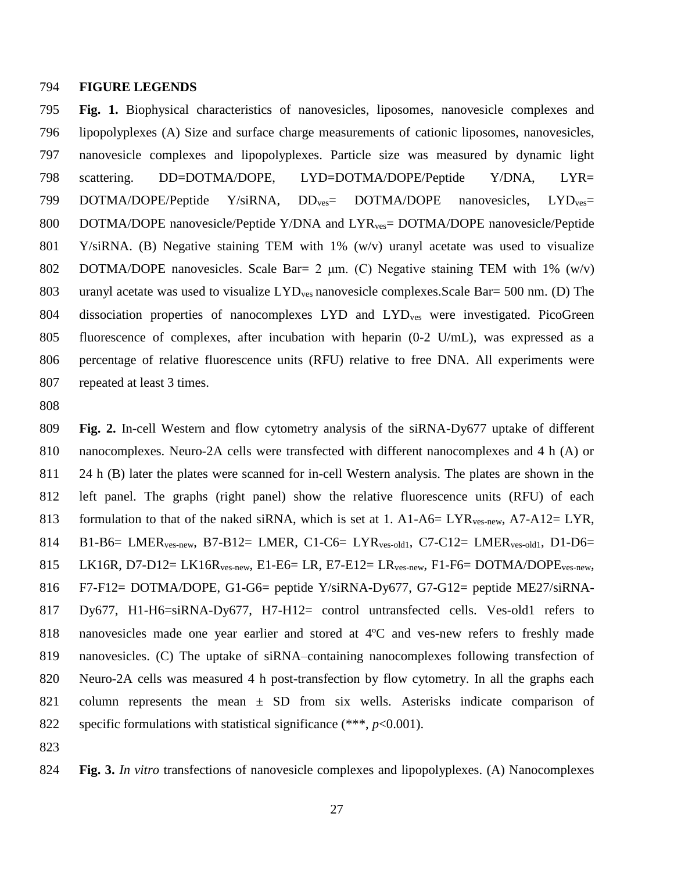#### **FIGURE LEGENDS**

 **Fig. 1.** Biophysical characteristics of nanovesicles, liposomes, nanovesicle complexes and lipopolyplexes (A) Size and surface charge measurements of cationic liposomes, nanovesicles, nanovesicle complexes and lipopolyplexes. Particle size was measured by dynamic light scattering. DD=DOTMA/DOPE, LYD=DOTMA/DOPE/Peptide Y/DNA, LYR= 799 DOTMA/DOPE/Peptide Y/siRNA, DD<sub>ves</sub>= DOTMA/DOPE nanovesicles, LYD<sub>ves</sub>= 800 DOTMA/DOPE nanovesicle/Peptide Y/DNA and LYR<sub>ves</sub>= DOTMA/DOPE nanovesicle/Peptide Y/siRNA. (B) Negative staining TEM with 1% (w/v) uranyl acetate was used to visualize DOTMA/DOPE nanovesicles. Scale Bar= 2 μm. (C) Negative staining TEM with 1% (w/v) 803 uranyl acetate was used to visualize LYD<sub>ves</sub> nanovesicle complexes. Scale Bar= 500 nm. (D) The 804 dissociation properties of nanocomplexes LYD and LYD<sub>ves</sub> were investigated. PicoGreen fluorescence of complexes, after incubation with heparin (0-2 U/mL), was expressed as a percentage of relative fluorescence units (RFU) relative to free DNA. All experiments were repeated at least 3 times.

 **Fig. 2.** In-cell Western and flow cytometry analysis of the siRNA-Dy677 uptake of different nanocomplexes. Neuro-2A cells were transfected with different nanocomplexes and 4 h (A) or 24 h (B) later the plates were scanned for in-cell Western analysis. The plates are shown in the left panel. The graphs (right panel) show the relative fluorescence units (RFU) of each 813 formulation to that of the naked siRNA, which is set at 1. A1-A6= LYR<sub>ves-new</sub>, A7-A12= LYR, 814 B1-B6= LMER<sub>ves-new</sub>, B7-B12= LMER, C1-C6= LYR<sub>ves-old1</sub>, C7-C12= LMER<sub>ves-old1</sub>, D1-D6= 815 LK16R, D7-D12= LK16R<sub>ves-new</sub>, E1-E6= LR, E7-E12= LR<sub>ves-new</sub>, F1-F6= DOTMA/DOPE<sub>ves-new</sub>, F7-F12= DOTMA/DOPE, G1-G6= peptide Y/siRNA-Dy677, G7-G12= peptide ME27/siRNA- Dy677, H1-H6=siRNA-Dy677, H7-H12= control untransfected cells. Ves-old1 refers to nanovesicles made one year earlier and stored at 4ºC and ves-new refers to freshly made nanovesicles. (C) The uptake of siRNA–containing nanocomplexes following transfection of Neuro-2A cells was measured 4 h post-transfection by flow cytometry. In all the graphs each column represents the mean ± SD from six wells. Asterisks indicate comparison of specific formulations with statistical significance (\*\*\*, *p*<0.001).

**Fig. 3.** *In vitro* transfections of nanovesicle complexes and lipopolyplexes. (A) Nanocomplexes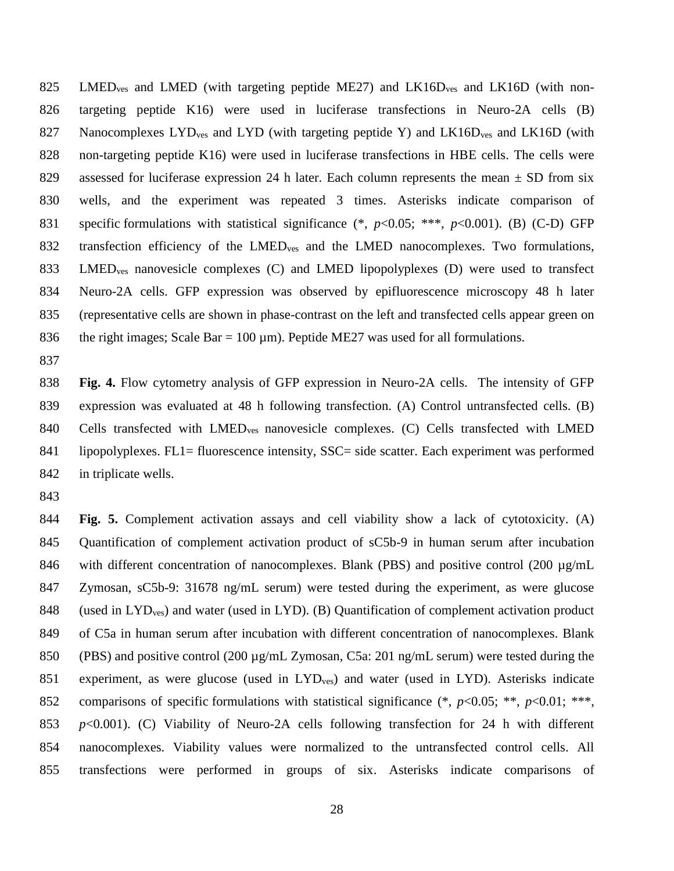825 LMED<sub>ves</sub> and LMED (with targeting peptide ME27) and LK16D<sub>ves</sub> and LK16D (with non- targeting peptide K16) were used in luciferase transfections in Neuro-2A cells (B) 827 Nanocomplexes LYD<sub>ves</sub> and LYD (with targeting peptide Y) and LK16D<sub>ves</sub> and LK16D (with non-targeting peptide K16) were used in luciferase transfections in HBE cells. The cells were 829 assessed for luciferase expression 24 h later. Each column represents the mean  $\pm$  SD from six wells, and the experiment was repeated 3 times. Asterisks indicate comparison of specific formulations with statistical significance (\*, *p*<0.05; \*\*\*, *p*<0.001). (B) (C-D) GFP 832 transfection efficiency of the LMED<sub>ves</sub> and the LMED nanocomplexes. Two formulations, LMEDves nanovesicle complexes (C) and LMED lipopolyplexes (D) were used to transfect Neuro-2A cells. GFP expression was observed by epifluorescence microscopy 48 h later (representative cells are shown in phase-contrast on the left and transfected cells appear green on 836 the right images; Scale Bar =  $100 \mu m$ ). Peptide ME27 was used for all formulations.

 **Fig. 4.** Flow cytometry analysis of GFP expression in Neuro-2A cells. The intensity of GFP expression was evaluated at 48 h following transfection. (A) Control untransfected cells. (B) 840 Cells transfected with LMED<sub>ves</sub> nanovesicle complexes. (C) Cells transfected with LMED 841 lipopolyplexes. FL1= fluorescence intensity, SSC= side scatter. Each experiment was performed in triplicate wells.

 **Fig. 5.** Complement activation assays and cell viability show a lack of cytotoxicity. (A) Quantification of complement activation product of sC5b-9 in human serum after incubation 846 with different concentration of nanocomplexes. Blank (PBS) and positive control (200 µg/mL Zymosan, sC5b-9: 31678 ng/mL serum) were tested during the experiment, as were glucose 848 (used in LYD<sub>ves</sub>) and water (used in LYD). (B) Quantification of complement activation product of C5a in human serum after incubation with different concentration of nanocomplexes. Blank (PBS) and positive control (200 µg/mL Zymosan, C5a: 201 ng/mL serum) were tested during the 851 experiment, as were glucose (used in LYD<sub>ves</sub>) and water (used in LYD). Asterisks indicate comparisons of specific formulations with statistical significance (\*, *p*<0.05; \*\*, *p*<0.01; \*\*\*, *p*<0.001). (C) Viability of Neuro-2A cells following transfection for 24 h with different nanocomplexes. Viability values were normalized to the untransfected control cells. All transfections were performed in groups of six. Asterisks indicate comparisons of